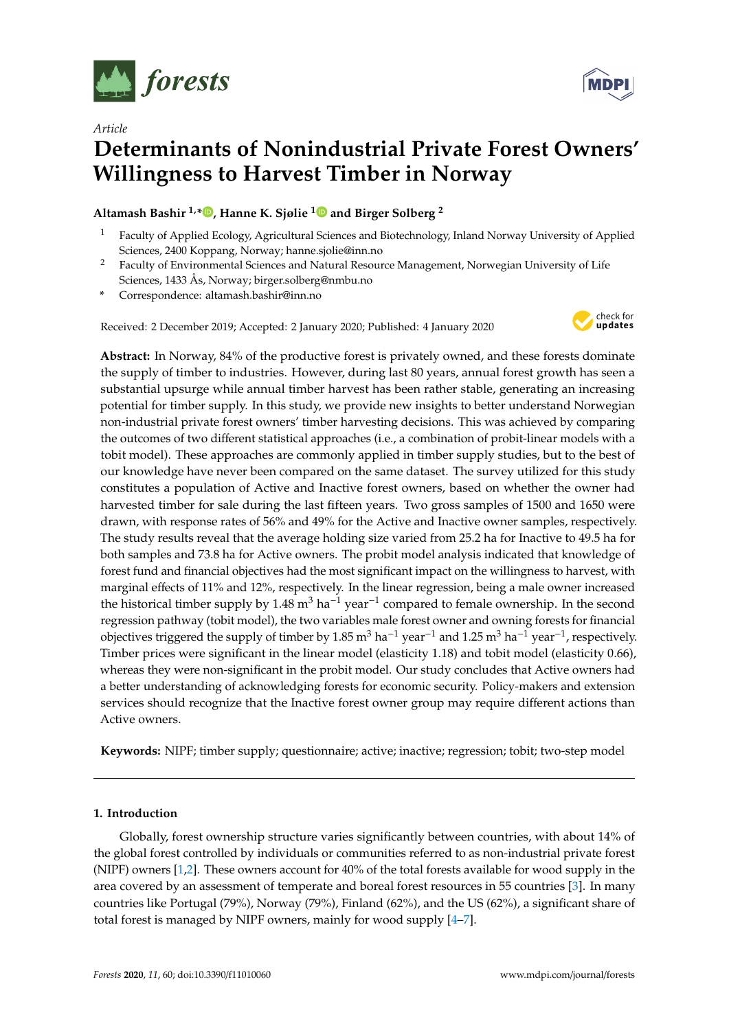

*Article*

# **Determinants of Nonindustrial Private Forest Owners' Willingness to Harvest Timber in Norway**

**Altamash Bashir 1,[\\*](https://orcid.org/0000-0003-4038-3336) , Hanne K. Sjølie [1](https://orcid.org/0000-0001-8099-3521) and Birger Solberg <sup>2</sup>**

- <sup>1</sup> Faculty of Applied Ecology, Agricultural Sciences and Biotechnology, Inland Norway University of Applied Sciences, 2400 Koppang, Norway; hanne.sjolie@inn.no
- <sup>2</sup> Faculty of Environmental Sciences and Natural Resource Management, Norwegian University of Life Sciences, 1433 Ås, Norway; birger.solberg@nmbu.no
- **\*** Correspondence: altamash.bashir@inn.no

Received: 2 December 2019; Accepted: 2 January 2020; Published: 4 January 2020



**Abstract:** In Norway, 84% of the productive forest is privately owned, and these forests dominate the supply of timber to industries. However, during last 80 years, annual forest growth has seen a substantial upsurge while annual timber harvest has been rather stable, generating an increasing potential for timber supply. In this study, we provide new insights to better understand Norwegian non-industrial private forest owners' timber harvesting decisions. This was achieved by comparing the outcomes of two different statistical approaches (i.e., a combination of probit-linear models with a tobit model). These approaches are commonly applied in timber supply studies, but to the best of our knowledge have never been compared on the same dataset. The survey utilized for this study constitutes a population of Active and Inactive forest owners, based on whether the owner had harvested timber for sale during the last fifteen years. Two gross samples of 1500 and 1650 were drawn, with response rates of 56% and 49% for the Active and Inactive owner samples, respectively. The study results reveal that the average holding size varied from 25.2 ha for Inactive to 49.5 ha for both samples and 73.8 ha for Active owners. The probit model analysis indicated that knowledge of forest fund and financial objectives had the most significant impact on the willingness to harvest, with marginal effects of 11% and 12%, respectively. In the linear regression, being a male owner increased the historical timber supply by 1.48 m<sup>3</sup> ha<sup>-1</sup> year<sup>-1</sup> compared to female ownership. In the second regression pathway (tobit model), the two variables male forest owner and owning forests for financial objectives triggered the supply of timber by 1.85 m<sup>3</sup> ha<sup>-1</sup> year<sup>-1</sup> and 1.25 m<sup>3</sup> ha<sup>-1</sup> year<sup>-1</sup>, respectively. Timber prices were significant in the linear model (elasticity 1.18) and tobit model (elasticity 0.66), whereas they were non-significant in the probit model. Our study concludes that Active owners had a better understanding of acknowledging forests for economic security. Policy-makers and extension services should recognize that the Inactive forest owner group may require different actions than Active owners.

**Keywords:** NIPF; timber supply; questionnaire; active; inactive; regression; tobit; two-step model

# **1. Introduction**

Globally, forest ownership structure varies significantly between countries, with about 14% of the global forest controlled by individuals or communities referred to as non-industrial private forest (NIPF) owners [\[1,](#page-11-0)[2\]](#page-11-1). These owners account for 40% of the total forests available for wood supply in the area covered by an assessment of temperate and boreal forest resources in 55 countries [\[3\]](#page-11-2). In many countries like Portugal (79%), Norway (79%), Finland (62%), and the US (62%), a significant share of total forest is managed by NIPF owners, mainly for wood supply [\[4–](#page-11-3)[7\]](#page-11-4).

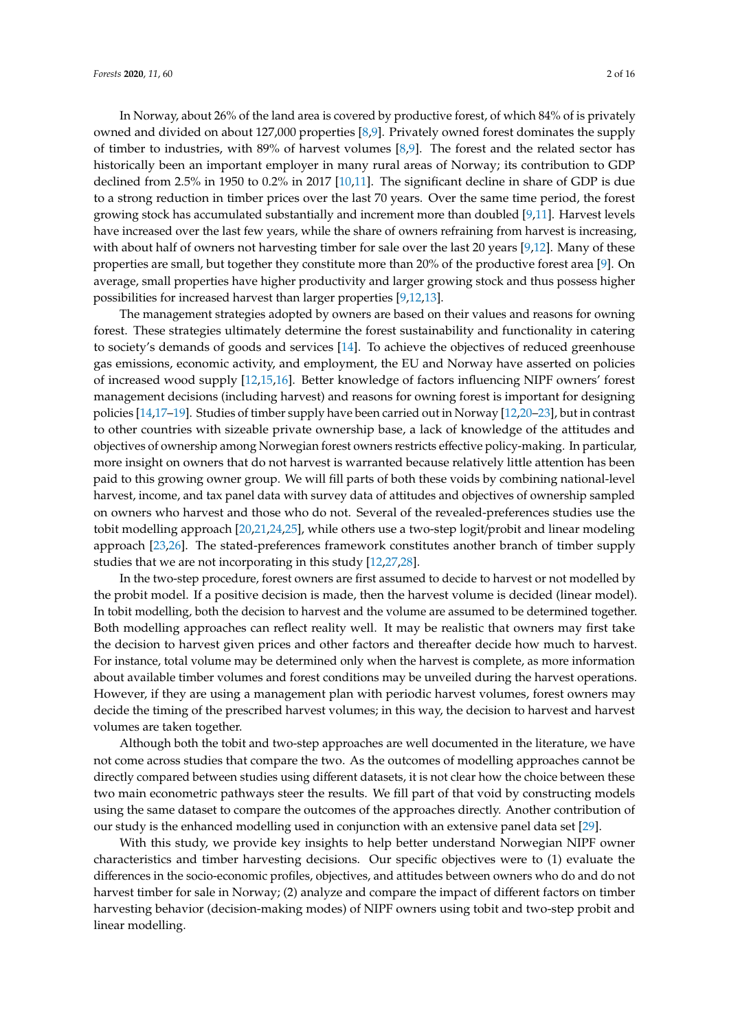In Norway, about 26% of the land area is covered by productive forest, of which 84% of is privately owned and divided on about 127,000 properties [\[8,](#page-12-0)[9\]](#page-12-1). Privately owned forest dominates the supply of timber to industries, with 89% of harvest volumes [\[8](#page-12-0)[,9\]](#page-12-1). The forest and the related sector has historically been an important employer in many rural areas of Norway; its contribution to GDP declined from 2.5% in 1950 to 0.2% in 2017 [\[10,](#page-12-2)[11\]](#page-12-3). The significant decline in share of GDP is due to a strong reduction in timber prices over the last 70 years. Over the same time period, the forest growing stock has accumulated substantially and increment more than doubled [\[9](#page-12-1)[,11\]](#page-12-3). Harvest levels have increased over the last few years, while the share of owners refraining from harvest is increasing, with about half of owners not harvesting timber for sale over the last 20 years [\[9](#page-12-1)[,12\]](#page-12-4). Many of these properties are small, but together they constitute more than 20% of the productive forest area [\[9\]](#page-12-1). On average, small properties have higher productivity and larger growing stock and thus possess higher possibilities for increased harvest than larger properties [\[9](#page-12-1)[,12](#page-12-4)[,13\]](#page-12-5).

The management strategies adopted by owners are based on their values and reasons for owning forest. These strategies ultimately determine the forest sustainability and functionality in catering to society's demands of goods and services [\[14\]](#page-12-6). To achieve the objectives of reduced greenhouse gas emissions, economic activity, and employment, the EU and Norway have asserted on policies of increased wood supply [\[12](#page-12-4)[,15](#page-12-7)[,16\]](#page-12-8). Better knowledge of factors influencing NIPF owners' forest management decisions (including harvest) and reasons for owning forest is important for designing policies [\[14,](#page-12-6)[17–](#page-12-9)[19\]](#page-12-10). Studies of timber supply have been carried out in Norway [\[12](#page-12-4)[,20–](#page-12-11)[23\]](#page-12-12), but in contrast to other countries with sizeable private ownership base, a lack of knowledge of the attitudes and objectives of ownership among Norwegian forest owners restricts effective policy-making. In particular, more insight on owners that do not harvest is warranted because relatively little attention has been paid to this growing owner group. We will fill parts of both these voids by combining national-level harvest, income, and tax panel data with survey data of attitudes and objectives of ownership sampled on owners who harvest and those who do not. Several of the revealed-preferences studies use the tobit modelling approach [\[20](#page-12-11)[,21](#page-12-13)[,24](#page-12-14)[,25\]](#page-12-15), while others use a two-step logit/probit and linear modeling approach [\[23](#page-12-12)[,26\]](#page-12-16). The stated-preferences framework constitutes another branch of timber supply studies that we are not incorporating in this study [\[12](#page-12-4)[,27](#page-12-17)[,28\]](#page-12-18).

In the two-step procedure, forest owners are first assumed to decide to harvest or not modelled by the probit model. If a positive decision is made, then the harvest volume is decided (linear model). In tobit modelling, both the decision to harvest and the volume are assumed to be determined together. Both modelling approaches can reflect reality well. It may be realistic that owners may first take the decision to harvest given prices and other factors and thereafter decide how much to harvest. For instance, total volume may be determined only when the harvest is complete, as more information about available timber volumes and forest conditions may be unveiled during the harvest operations. However, if they are using a management plan with periodic harvest volumes, forest owners may decide the timing of the prescribed harvest volumes; in this way, the decision to harvest and harvest volumes are taken together.

Although both the tobit and two-step approaches are well documented in the literature, we have not come across studies that compare the two. As the outcomes of modelling approaches cannot be directly compared between studies using different datasets, it is not clear how the choice between these two main econometric pathways steer the results. We fill part of that void by constructing models using the same dataset to compare the outcomes of the approaches directly. Another contribution of our study is the enhanced modelling used in conjunction with an extensive panel data set [\[29\]](#page-12-19).

With this study, we provide key insights to help better understand Norwegian NIPF owner characteristics and timber harvesting decisions. Our specific objectives were to (1) evaluate the differences in the socio-economic profiles, objectives, and attitudes between owners who do and do not harvest timber for sale in Norway; (2) analyze and compare the impact of different factors on timber harvesting behavior (decision-making modes) of NIPF owners using tobit and two-step probit and linear modelling.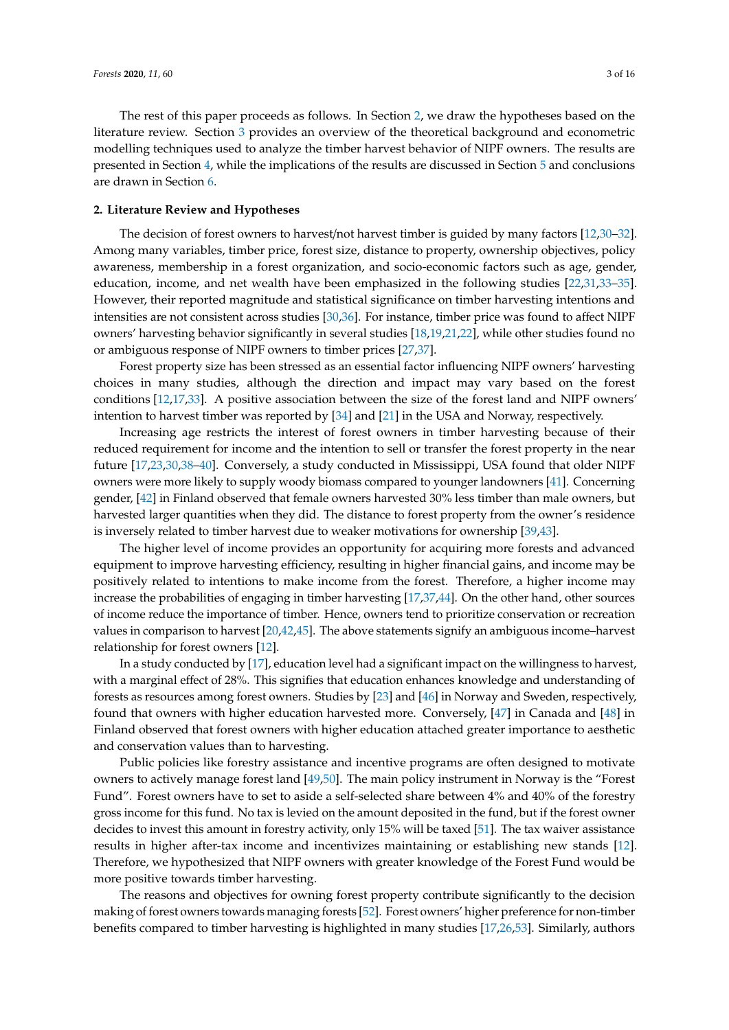The rest of this paper proceeds as follows. In Section [2,](#page-2-0) we draw the hypotheses based on the literature review. Section [3](#page-4-0) provides an overview of the theoretical background and econometric modelling techniques used to analyze the timber harvest behavior of NIPF owners. The results are presented in Section [4,](#page-6-0) while the implications of the results are discussed in Section [5](#page-9-0) and conclusions are drawn in Section [6.](#page-11-5)

#### <span id="page-2-0"></span>**2. Literature Review and Hypotheses**

The decision of forest owners to harvest/not harvest timber is guided by many factors [\[12](#page-12-4)[,30–](#page-12-20)[32\]](#page-13-0). Among many variables, timber price, forest size, distance to property, ownership objectives, policy awareness, membership in a forest organization, and socio-economic factors such as age, gender, education, income, and net wealth have been emphasized in the following studies [\[22,](#page-12-21)[31,](#page-12-22)[33–](#page-13-1)[35\]](#page-13-2). However, their reported magnitude and statistical significance on timber harvesting intentions and intensities are not consistent across studies [\[30,](#page-12-20)[36\]](#page-13-3). For instance, timber price was found to affect NIPF owners' harvesting behavior significantly in several studies [\[18,](#page-12-23)[19,](#page-12-10)[21](#page-12-13)[,22\]](#page-12-21), while other studies found no or ambiguous response of NIPF owners to timber prices [\[27](#page-12-17)[,37\]](#page-13-4).

Forest property size has been stressed as an essential factor influencing NIPF owners' harvesting choices in many studies, although the direction and impact may vary based on the forest conditions [\[12,](#page-12-4)[17,](#page-12-9)[33\]](#page-13-1). A positive association between the size of the forest land and NIPF owners' intention to harvest timber was reported by [\[34\]](#page-13-5) and [\[21\]](#page-12-13) in the USA and Norway, respectively.

Increasing age restricts the interest of forest owners in timber harvesting because of their reduced requirement for income and the intention to sell or transfer the forest property in the near future [\[17](#page-12-9)[,23](#page-12-12)[,30](#page-12-20)[,38–](#page-13-6)[40\]](#page-13-7). Conversely, a study conducted in Mississippi, USA found that older NIPF owners were more likely to supply woody biomass compared to younger landowners [\[41\]](#page-13-8). Concerning gender, [\[42\]](#page-13-9) in Finland observed that female owners harvested 30% less timber than male owners, but harvested larger quantities when they did. The distance to forest property from the owner's residence is inversely related to timber harvest due to weaker motivations for ownership [\[39,](#page-13-10)[43\]](#page-13-11).

The higher level of income provides an opportunity for acquiring more forests and advanced equipment to improve harvesting efficiency, resulting in higher financial gains, and income may be positively related to intentions to make income from the forest. Therefore, a higher income may increase the probabilities of engaging in timber harvesting [\[17](#page-12-9)[,37,](#page-13-4)[44\]](#page-13-12). On the other hand, other sources of income reduce the importance of timber. Hence, owners tend to prioritize conservation or recreation values in comparison to harvest [\[20](#page-12-11)[,42,](#page-13-9)[45\]](#page-13-13). The above statements signify an ambiguous income–harvest relationship for forest owners [\[12\]](#page-12-4).

In a study conducted by [\[17\]](#page-12-9), education level had a significant impact on the willingness to harvest, with a marginal effect of 28%. This signifies that education enhances knowledge and understanding of forests as resources among forest owners. Studies by [\[23\]](#page-12-12) and [\[46\]](#page-13-14) in Norway and Sweden, respectively, found that owners with higher education harvested more. Conversely, [\[47\]](#page-13-15) in Canada and [\[48\]](#page-13-16) in Finland observed that forest owners with higher education attached greater importance to aesthetic and conservation values than to harvesting.

Public policies like forestry assistance and incentive programs are often designed to motivate owners to actively manage forest land [\[49](#page-13-17)[,50\]](#page-13-18). The main policy instrument in Norway is the "Forest Fund". Forest owners have to set to aside a self-selected share between 4% and 40% of the forestry gross income for this fund. No tax is levied on the amount deposited in the fund, but if the forest owner decides to invest this amount in forestry activity, only 15% will be taxed [\[51\]](#page-13-19). The tax waiver assistance results in higher after-tax income and incentivizes maintaining or establishing new stands [\[12\]](#page-12-4). Therefore, we hypothesized that NIPF owners with greater knowledge of the Forest Fund would be more positive towards timber harvesting.

The reasons and objectives for owning forest property contribute significantly to the decision making of forest owners towards managing forests [\[52\]](#page-13-20). Forest owners' higher preference for non-timber benefits compared to timber harvesting is highlighted in many studies [\[17,](#page-12-9)[26,](#page-12-16)[53\]](#page-13-21). Similarly, authors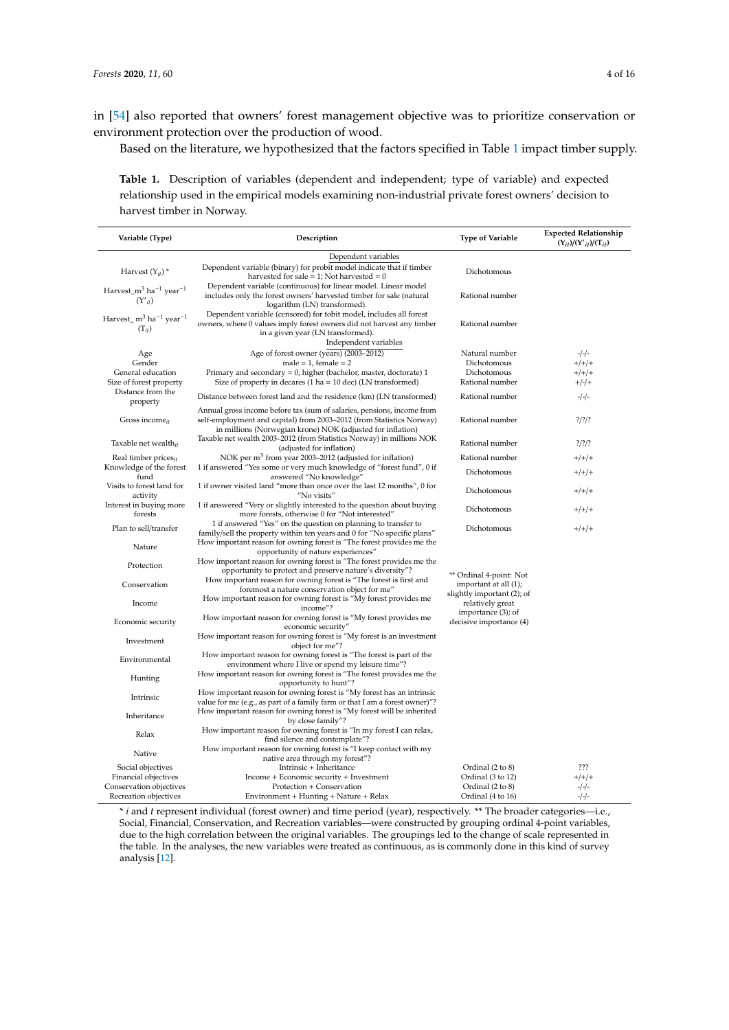in [\[54\]](#page-13-22) also reported that owners' forest management objective was to prioritize conservation or environment protection over the production of wood.

Based on the literature, we hypothesized that the factors specified in Table [1](#page-3-0) impact timber supply.

<span id="page-3-0"></span>**Table 1.** Description of variables (dependent and independent; type of variable) and expected relationship used in the empirical models examining non-industrial private forest owners' decision to harvest timber in Norway.

| Variable (Type)                                                           | Description                                                                                                                                                                                                  | <b>Type of Variable</b>                                                        | <b>Expected Relationship</b><br>$(Y_{it})/(Y'_{it})/(T_{it})$ |
|---------------------------------------------------------------------------|--------------------------------------------------------------------------------------------------------------------------------------------------------------------------------------------------------------|--------------------------------------------------------------------------------|---------------------------------------------------------------|
|                                                                           | Dependent variables                                                                                                                                                                                          |                                                                                |                                                               |
| Harvest $(Y_{it})^*$                                                      | Dependent variable (binary) for probit model indicate that if timber<br>harvested for sale = $1$ ; Not harvested = $0$                                                                                       | Dichotomous                                                                    |                                                               |
| Harvest_m <sup>3</sup> ha <sup>-1</sup> year <sup>-1</sup><br>$(Y'_{it})$ | Dependent variable (continuous) for linear model. Linear model<br>includes only the forest owners' harvested timber for sale (natural<br>logarithm (LN) transformed).                                        | Rational number                                                                |                                                               |
| Harvest_m <sup>3</sup> ha <sup>-1</sup> year <sup>-1</sup><br>$(T_{it})$  | Dependent variable (censored) for tobit model, includes all forest<br>owners, where 0 values imply forest owners did not harvest any timber<br>in a given year (LN transformed).<br>Independent variables    | Rational number                                                                |                                                               |
| Age                                                                       | Age of forest owner (years) (2003-2012)                                                                                                                                                                      | Natural number                                                                 | $-/-/-$                                                       |
| Gender                                                                    | $male = 1$ , female = 2                                                                                                                                                                                      | Dichotomous                                                                    | $+/+/+$                                                       |
| General education<br>Size of forest property                              | Primary and secondary = $0$ , higher (bachelor, master, doctorate) 1<br>Size of property in decares $(1 ha = 10 dec)$ (LN transformed)                                                                       | Dichotomous<br>Rational number                                                 | $+/+/+$<br>$+/-/+$                                            |
| Distance from the<br>property                                             | Distance between forest land and the residence (km) (LN transformed)                                                                                                                                         | Rational number                                                                | $-/-/-$                                                       |
| Gross income <sub>it</sub>                                                | Annual gross income before tax (sum of salaries, pensions, income from<br>self-employment and capital) from 2003-2012 (from Statistics Norway)<br>in millions (Norwegian krone) NOK (adjusted for inflation) | Rational number                                                                | $?$ /?/?                                                      |
| Taxable net wealth <sub>it</sub>                                          | Taxable net wealth 2003-2012 (from Statistics Norway) in millions NOK<br>(adjusted for inflation)                                                                                                            | Rational number                                                                | $?$ /?/?                                                      |
| Real timber prices <sub>it</sub>                                          | NOK per m <sup>3</sup> from year 2003–2012 (adjusted for inflation)                                                                                                                                          | Rational number                                                                | $+/+/+$                                                       |
| Knowledge of the forest<br>fund                                           | 1 if answered "Yes some or very much knowledge of "forest fund", 0 if<br>answered "No knowledge"                                                                                                             | Dichotomous                                                                    | $+/+/+$                                                       |
| Visits to forest land for<br>activity                                     | 1 if owner visited land "more than once over the last 12 months", 0 for<br>"No visits"                                                                                                                       | Dichotomous                                                                    | $+/+/+$                                                       |
| Interest in buying more<br>forests                                        | 1 if answered "Very or slightly interested to the question about buying<br>more forests, otherwise 0 for "Not interested"                                                                                    | Dichotomous                                                                    | $+/+/+$                                                       |
| Plan to sell/transfer                                                     | 1 if answered "Yes" on the question on planning to transfer to<br>family/sell the property within ten years and 0 for "No specific plans"                                                                    | Dichotomous                                                                    | $+/+/+$                                                       |
| Nature                                                                    | How important reason for owning forest is "The forest provides me the<br>opportunity of nature experiences"                                                                                                  |                                                                                |                                                               |
| Protection                                                                | How important reason for owning forest is "The forest provides me the<br>opportunity to protect and preserve nature's diversity"?                                                                            |                                                                                |                                                               |
| Conservation                                                              | How important reason for owning forest is "The forest is first and<br>foremost a nature conservation object for me"                                                                                          | ** Ordinal 4-point: Not<br>important at all (1);<br>slightly important (2); of |                                                               |
| Income                                                                    | How important reason for owning forest is "My forest provides me<br>income"?                                                                                                                                 | relatively great                                                               |                                                               |
| Economic security                                                         | How important reason for owning forest is "My forest provides me<br>economic security"                                                                                                                       | importance (3); of<br>decisive importance (4)                                  |                                                               |
| Investment                                                                | How important reason for owning forest is "My forest is an investment<br>object for me"?                                                                                                                     |                                                                                |                                                               |
| Environmental                                                             | How important reason for owning forest is "The forest is part of the<br>environment where I live or spend my leisure time"?                                                                                  |                                                                                |                                                               |
| Hunting                                                                   | How important reason for owning forest is "The forest provides me the<br>opportunity to hunt"?                                                                                                               |                                                                                |                                                               |
| Intrinsic                                                                 | How important reason for owning forest is "My forest has an intrinsic<br>value for me (e.g., as part of a family farm or that I am a forest owner)"?                                                         |                                                                                |                                                               |
| Inheritance                                                               | How important reason for owning forest is "My forest will be inherited<br>by close family"?                                                                                                                  |                                                                                |                                                               |
| Relax                                                                     | How important reason for owning forest is "In my forest I can relax,<br>find silence and contemplate"?                                                                                                       |                                                                                |                                                               |
| Native                                                                    | How important reason for owning forest is "I keep contact with my<br>native area through my forest"?                                                                                                         |                                                                                |                                                               |
| Social objectives                                                         | Intrinsic + Inheritance                                                                                                                                                                                      | Ordinal (2 to 8)                                                               | ???                                                           |
| Financial objectives                                                      | Income + Economic security + Investment                                                                                                                                                                      | Ordinal (3 to 12)                                                              | $+/+/+$                                                       |
| Conservation objectives                                                   | Protection + Conservation                                                                                                                                                                                    | Ordinal (2 to 8)                                                               | $-/-/-$                                                       |
| Recreation objectives                                                     | Environment + Hunting + Nature + Relax                                                                                                                                                                       | Ordinal (4 to 16)                                                              | $-/-/-$                                                       |

\* *i* and *t* represent individual (forest owner) and time period (year), respectively. \*\* The broader categories—i.e., Social, Financial, Conservation, and Recreation variables—were constructed by grouping ordinal 4-point variables, due to the high correlation between the original variables. The groupings led to the change of scale represented in the table. In the analyses, the new variables were treated as continuous, as is commonly done in this kind of survey analysis [\[12\]](#page-12-4).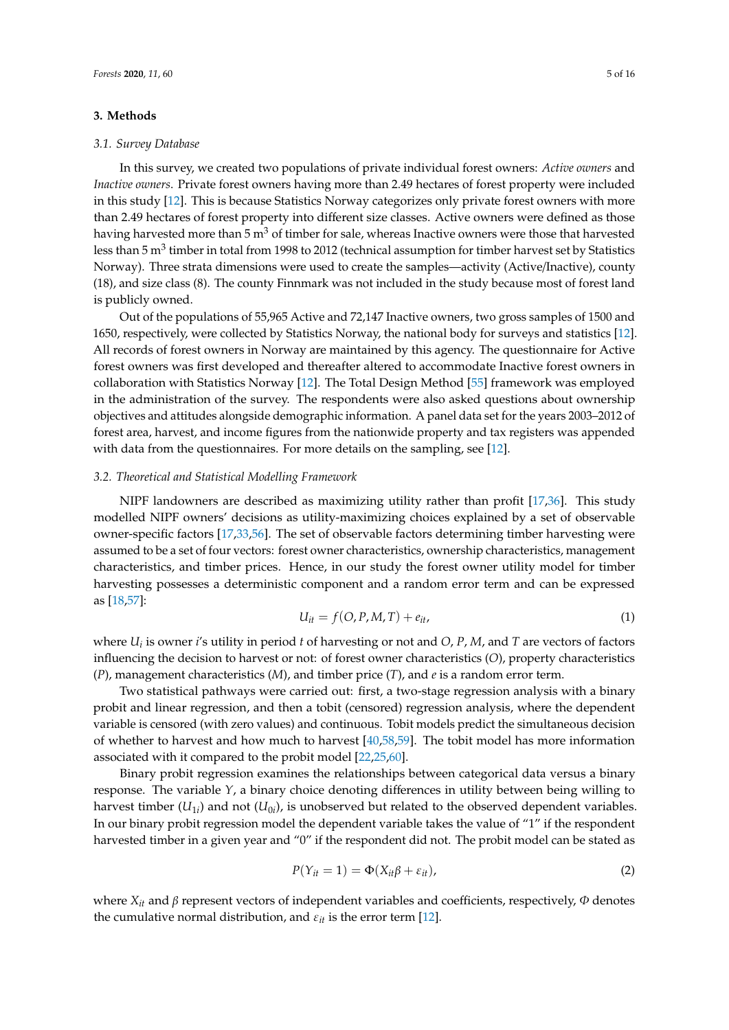## <span id="page-4-0"></span>**3. Methods**

#### *3.1. Survey Database*

In this survey, we created two populations of private individual forest owners: *Active owners* and *Inactive owners*. Private forest owners having more than 2.49 hectares of forest property were included in this study [\[12\]](#page-12-4). This is because Statistics Norway categorizes only private forest owners with more than 2.49 hectares of forest property into different size classes. Active owners were defined as those having harvested more than  $5 \text{ m}^3$  of timber for sale, whereas Inactive owners were those that harvested less than 5 m $^3$  timber in total from 1998 to 2012 (technical assumption for timber harvest set by Statistics Norway). Three strata dimensions were used to create the samples—activity (Active/Inactive), county (18), and size class (8). The county Finnmark was not included in the study because most of forest land is publicly owned.

Out of the populations of 55,965 Active and 72,147 Inactive owners, two gross samples of 1500 and 1650, respectively, were collected by Statistics Norway, the national body for surveys and statistics [\[12\]](#page-12-4). All records of forest owners in Norway are maintained by this agency. The questionnaire for Active forest owners was first developed and thereafter altered to accommodate Inactive forest owners in collaboration with Statistics Norway [\[12\]](#page-12-4). The Total Design Method [\[55\]](#page-14-0) framework was employed in the administration of the survey. The respondents were also asked questions about ownership objectives and attitudes alongside demographic information. A panel data set for the years 2003–2012 of forest area, harvest, and income figures from the nationwide property and tax registers was appended with data from the questionnaires. For more details on the sampling, see [\[12\]](#page-12-4).

## *3.2. Theoretical and Statistical Modelling Framework*

NIPF landowners are described as maximizing utility rather than profit [\[17,](#page-12-9)[36\]](#page-13-3). This study modelled NIPF owners' decisions as utility-maximizing choices explained by a set of observable owner-specific factors [\[17,](#page-12-9)[33,](#page-13-1)[56\]](#page-14-1). The set of observable factors determining timber harvesting were assumed to be a set of four vectors: forest owner characteristics, ownership characteristics, management characteristics, and timber prices. Hence, in our study the forest owner utility model for timber harvesting possesses a deterministic component and a random error term and can be expressed as [\[18,](#page-12-23)[57\]](#page-14-2):

$$
U_{it} = f(O, P, M, T) + e_{it}, \qquad (1)
$$

where *U<sup>i</sup>* is owner *i*'s utility in period *t* of harvesting or not and *O*, *P*, *M*, and *T* are vectors of factors influencing the decision to harvest or not: of forest owner characteristics (*O*), property characteristics (*P*), management characteristics (*M*), and timber price (*T*), and *e* is a random error term.

Two statistical pathways were carried out: first, a two-stage regression analysis with a binary probit and linear regression, and then a tobit (censored) regression analysis, where the dependent variable is censored (with zero values) and continuous. Tobit models predict the simultaneous decision of whether to harvest and how much to harvest [\[40,](#page-13-7)[58,](#page-14-3)[59\]](#page-14-4). The tobit model has more information associated with it compared to the probit model [\[22](#page-12-21)[,25](#page-12-15)[,60\]](#page-14-5).

Binary probit regression examines the relationships between categorical data versus a binary response. The variable *Y*, a binary choice denoting differences in utility between being willing to harvest timber  $(U_{1i})$  and not  $(U_{0i})$ , is unobserved but related to the observed dependent variables. In our binary probit regression model the dependent variable takes the value of "1" if the respondent harvested timber in a given year and "0" if the respondent did not. The probit model can be stated as

$$
P(Y_{it} = 1) = \Phi(X_{it}\beta + \varepsilon_{it}),
$$
\n(2)

where  $X_{it}$  and  $\beta$  represent vectors of independent variables and coefficients, respectively,  $\Phi$  denotes the cumulative normal distribution, and  $\varepsilon_{it}$  is the error term [\[12\]](#page-12-4).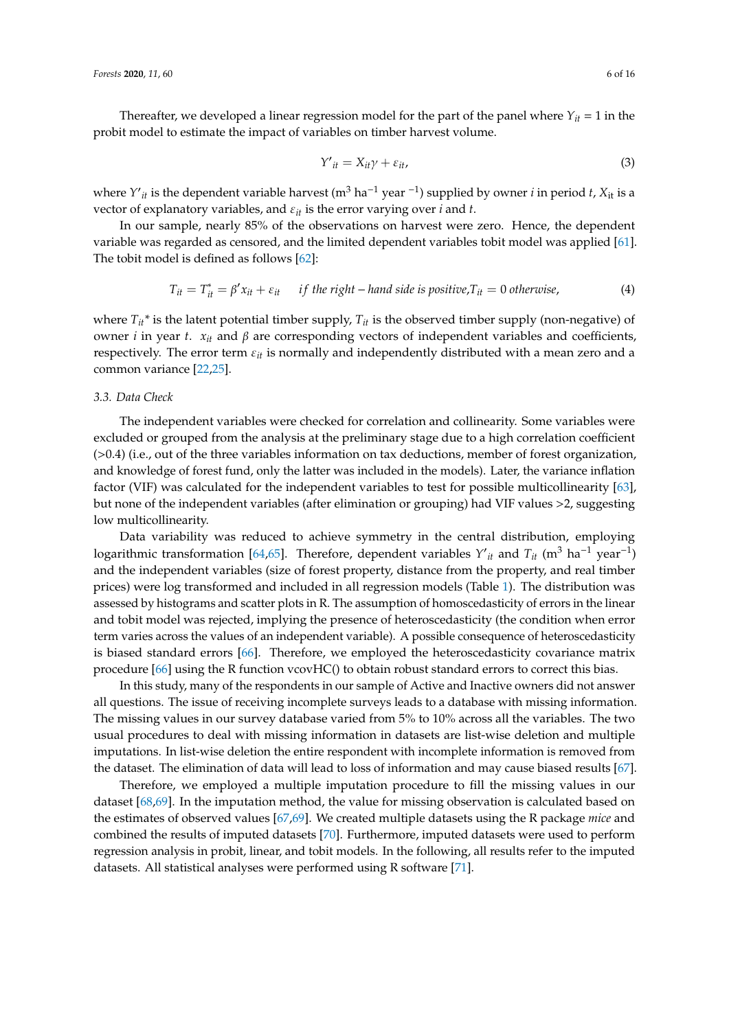Thereafter, we developed a linear regression model for the part of the panel where  $Y_{it} = 1$  in the probit model to estimate the impact of variables on timber harvest volume.

$$
Y'_{it} = X_{it}\gamma + \varepsilon_{it},\tag{3}
$$

*where Y'<sub>it</sub>* is the dependent variable harvest (m<sup>3</sup> ha<sup>-1</sup> year <sup>-1</sup>) supplied by owner *i* in period *t*, *X*<sub>it</sub> is a vector of explanatory variables, and  $\varepsilon_{it}$  is the error varying over *i* and *t*.

In our sample, nearly 85% of the observations on harvest were zero. Hence, the dependent variable was regarded as censored, and the limited dependent variables tobit model was applied [\[61\]](#page-14-6). The tobit model is defined as follows [\[62\]](#page-14-7):

$$
T_{it} = T_{it}^* = \beta' x_{it} + \varepsilon_{it} \quad \text{if the right-hand side is positive,} \quad T_{it} = 0 \text{ otherwise,}
$$
\n
$$
\tag{4}
$$

where  $T_{it}^*$  is the latent potential timber supply,  $T_{it}$  is the observed timber supply (non-negative) of owner *i* in year *t*. *xit* and β are corresponding vectors of independent variables and coefficients, respectively. The error term ε*it* is normally and independently distributed with a mean zero and a common variance [\[22](#page-12-21)[,25\]](#page-12-15).

#### *3.3. Data Check*

The independent variables were checked for correlation and collinearity. Some variables were excluded or grouped from the analysis at the preliminary stage due to a high correlation coefficient (>0.4) (i.e., out of the three variables information on tax deductions, member of forest organization, and knowledge of forest fund, only the latter was included in the models). Later, the variance inflation factor (VIF) was calculated for the independent variables to test for possible multicollinearity [\[63\]](#page-14-8), but none of the independent variables (after elimination or grouping) had VIF values >2, suggesting low multicollinearity.

Data variability was reduced to achieve symmetry in the central distribution, employing logarithmic transformation [\[64,](#page-14-9)[65\]](#page-14-10). Therefore, dependent variables  $Y'_{it}$  and  $T_{it}$  (m<sup>3</sup> ha<sup>-1</sup> year<sup>-1</sup>) and the independent variables (size of forest property, distance from the property, and real timber prices) were log transformed and included in all regression models (Table [1\)](#page-3-0). The distribution was assessed by histograms and scatter plots in R. The assumption of homoscedasticity of errors in the linear and tobit model was rejected, implying the presence of heteroscedasticity (the condition when error term varies across the values of an independent variable). A possible consequence of heteroscedasticity is biased standard errors [\[66\]](#page-14-11). Therefore, we employed the heteroscedasticity covariance matrix procedure [\[66\]](#page-14-11) using the R function vcovHC() to obtain robust standard errors to correct this bias.

In this study, many of the respondents in our sample of Active and Inactive owners did not answer all questions. The issue of receiving incomplete surveys leads to a database with missing information. The missing values in our survey database varied from 5% to 10% across all the variables. The two usual procedures to deal with missing information in datasets are list-wise deletion and multiple imputations. In list-wise deletion the entire respondent with incomplete information is removed from the dataset. The elimination of data will lead to loss of information and may cause biased results [\[67\]](#page-14-12).

Therefore, we employed a multiple imputation procedure to fill the missing values in our dataset [\[68,](#page-14-13)[69\]](#page-14-14). In the imputation method, the value for missing observation is calculated based on the estimates of observed values [\[67](#page-14-12)[,69\]](#page-14-14). We created multiple datasets using the R package *mice* and combined the results of imputed datasets [\[70\]](#page-14-15). Furthermore, imputed datasets were used to perform regression analysis in probit, linear, and tobit models. In the following, all results refer to the imputed datasets. All statistical analyses were performed using R software [\[71\]](#page-14-16).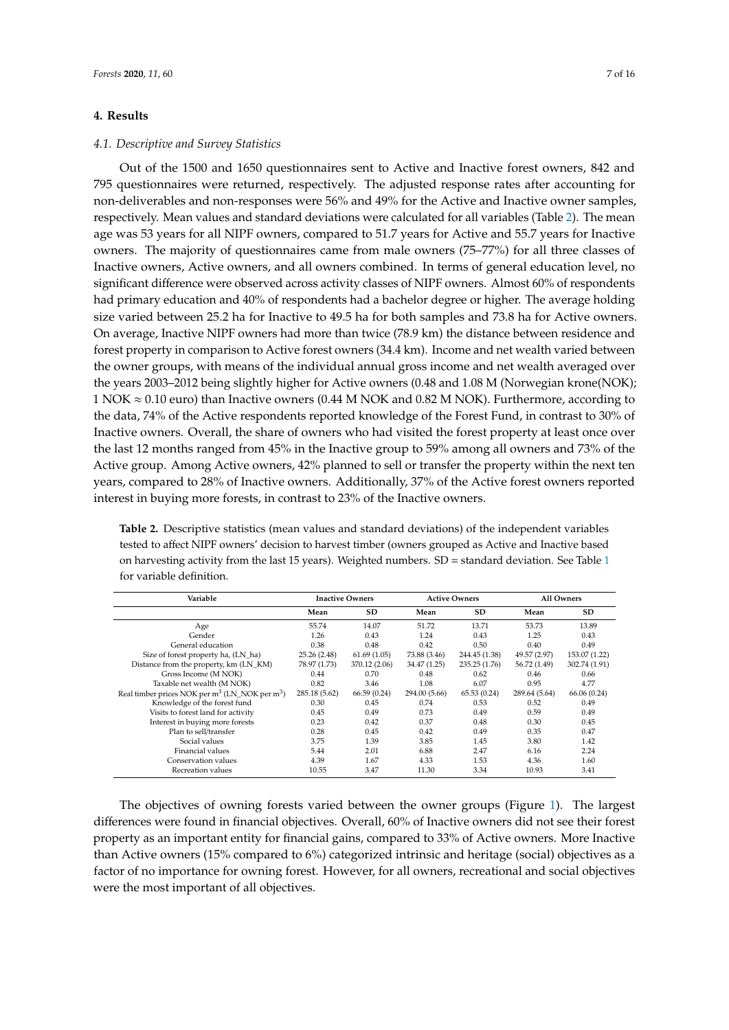## <span id="page-6-0"></span>**4. Results**

## *4.1. Descriptive and Survey Statistics*

Out of the 1500 and 1650 questionnaires sent to Active and Inactive forest owners, 842 and 795 questionnaires were returned, respectively. The adjusted response rates after accounting for non-deliverables and non-responses were 56% and 49% for the Active and Inactive owner samples, respectively. Mean values and standard deviations were calculated for all variables (Table [2\)](#page-6-1). The mean age was 53 years for all NIPF owners, compared to 51.7 years for Active and 55.7 years for Inactive owners. The majority of questionnaires came from male owners (75–77%) for all three classes of Inactive owners, Active owners, and all owners combined. In terms of general education level, no significant difference were observed across activity classes of NIPF owners. Almost 60% of respondents had primary education and 40% of respondents had a bachelor degree or higher. The average holding size varied between 25.2 ha for Inactive to 49.5 ha for both samples and 73.8 ha for Active owners. On average, Inactive NIPF owners had more than twice (78.9 km) the distance between residence and forest property in comparison to Active forest owners (34.4 km). Income and net wealth varied between the owner groups, with means of the individual annual gross income and net wealth averaged over the years 2003–2012 being slightly higher for Active owners (0.48 and 1.08 M (Norwegian krone(NOK);  $1 NOK \approx 0.10$  euro) than Inactive owners (0.44 M NOK and 0.82 M NOK). Furthermore, according to the data, 74% of the Active respondents reported knowledge of the Forest Fund, in contrast to 30% of Inactive owners. Overall, the share of owners who had visited the forest property at least once over the last 12 months ranged from 45% in the Inactive group to 59% among all owners and 73% of the Active group. Among Active owners, 42% planned to sell or transfer the property within the next ten years, compared to 28% of Inactive owners. Additionally, 37% of the Active forest owners reported interest in buying more forests, in contrast to 23% of the Inactive owners.

<span id="page-6-1"></span>**Table 2.** Descriptive statistics (mean values and standard deviations) of the independent variables tested to affect NIPF owners' decision to harvest timber (owners grouped as Active and Inactive based on harvesting activity from the last [1](#page-3-0)5 years). Weighted numbers.  $SD =$  standard deviation. See Table 1 for variable definition.

| Variable                                                               | <b>Inactive Owners</b> |               | <b>Active Owners</b> |               | <b>All Owners</b> |               |
|------------------------------------------------------------------------|------------------------|---------------|----------------------|---------------|-------------------|---------------|
|                                                                        | Mean                   | <b>SD</b>     | Mean                 | <b>SD</b>     | Mean              | <b>SD</b>     |
| Age                                                                    | 55.74                  | 14.07         | 51.72                | 13.71         | 53.73             | 13.89         |
| Gender                                                                 | 1.26                   | 0.43          | 1.24                 | 0.43          | 1.25              | 0.43          |
| General education                                                      | 0.38                   | 0.48          | 0.42                 | 0.50          | 0.40              | 0.49          |
| Size of forest property ha, (LN_ha)                                    | 25.26 (2.48)           | 61.69(1.05)   | 73.88 (3.46)         | 244.45 (1.38) | 49.57 (2.97)      | 153.07 (1.22) |
| Distance from the property, km (LN_KM)                                 | 78.97 (1.73)           | 370.12 (2.06) | 34.47 (1.25)         | 235.25 (1.76) | 56.72 (1.49)      | 302.74 (1.91) |
| Gross Income (M NOK)                                                   | 0.44                   | 0.70          | 0.48                 | 0.62          | 0.46              | 0.66          |
| Taxable net wealth (M NOK)                                             | 0.82                   | 3.46          | 1.08                 | 6.07          | 0.95              | 4.77          |
| Real timber prices NOK per m <sup>3</sup> (LN_NOK per m <sup>3</sup> ) | 285.18 (5.62)          | 66.59(0.24)   | 294.00 (5.66)        | 65.53(0.24)   | 289.64 (5.64)     | 66.06 (0.24)  |
| Knowledge of the forest fund                                           | 0.30                   | 0.45          | 0.74                 | 0.53          | 0.52              | 0.49          |
| Visits to forest land for activity                                     | 0.45                   | 0.49          | 0.73                 | 0.49          | 0.59              | 0.49          |
| Interest in buying more forests                                        | 0.23                   | 0.42          | 0.37                 | 0.48          | 0.30              | 0.45          |
| Plan to sell/transfer                                                  | 0.28                   | 0.45          | 0.42                 | 0.49          | 0.35              | 0.47          |
| Social values                                                          | 3.75                   | 1.39          | 3.85                 | 1.45          | 3.80              | 1.42          |
| Financial values                                                       | 5.44                   | 2.01          | 6.88                 | 2.47          | 6.16              | 2.24          |
| Conservation values                                                    | 4.39                   | 1.67          | 4.33                 | 1.53          | 4.36              | 1.60          |
| Recreation values                                                      | 10.55                  | 3.47          | 11.30                | 3.34          | 10.93             | 3.41          |

The objectives of owning forests varied between the owner groups (Figure [1\)](#page-7-0). The largest differences were found in financial objectives. Overall, 60% of Inactive owners did not see their forest property as an important entity for financial gains, compared to 33% of Active owners. More Inactive than Active owners (15% compared to 6%) categorized intrinsic and heritage (social) objectives as a factor of no importance for owning forest. However, for all owners, recreational and social objectives were the most important of all objectives.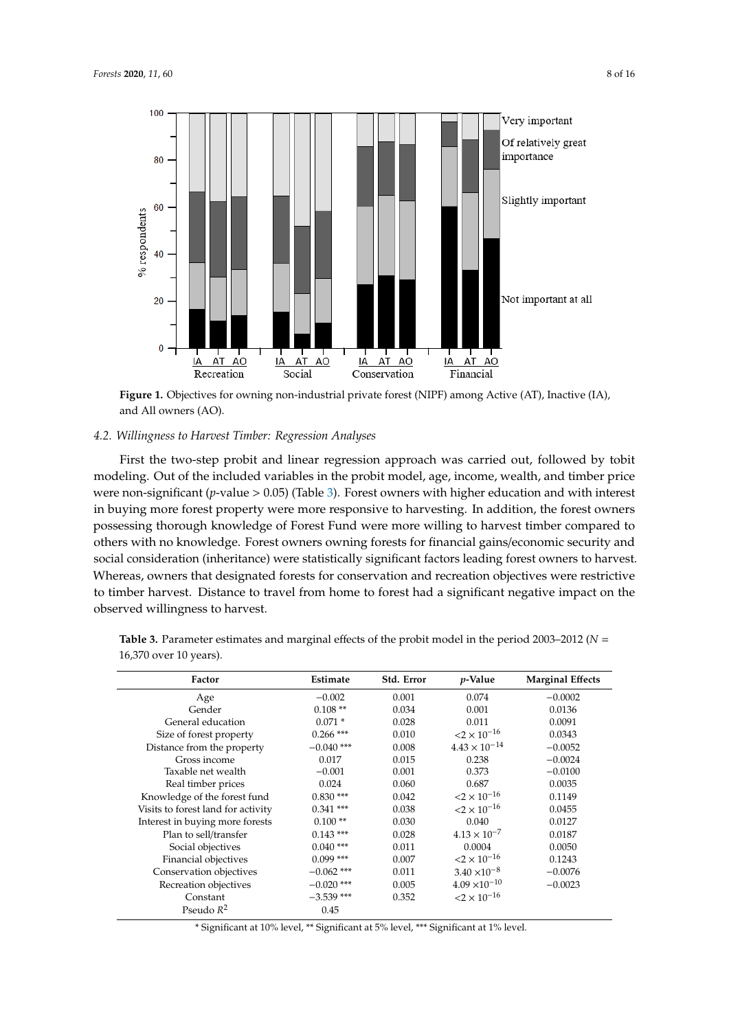<span id="page-7-0"></span>

**Figure 1.** Objectives for owning non-industrial private forest (NIPF) among Active (AT), Inactive (IA), and All owners (AO).

# 4.2. Willingness to Harvest Timber: Regression Analyses

First the two-step probit and linear regression approach was carried out, followed by tobit modeling. Out of the included variables in the probit model, age, income, wealth, and timber price were non-significant (*p*-value > 0.05) (Table 3). Forest owners with higher education and with interest in buying more forest property were more responsive to harvesting. In addition, the forest owners possessing thorough knowledge of Forest Fund were more willing to harvest timber compared to others with no knowledge. Forest owners owning forests for financial gains/economic security and others with no knowledge. Forest owners owners for financial gains/economic security and social consideration (inheritance) were statistically significant factors leading forest owners to social consideration (inheritance) were statistically significant factors leading forest owners to harvest. Whereas, owners that designated forests for conservation and recreation objectives were restrictive to timber harvest. Distance to travel from home to forest had a significant negative impact on the observed willingness to harvest.

| Factor                             | Estimate     | Std. Error | <i>p</i> -Value                  | <b>Marginal Effects</b> |
|------------------------------------|--------------|------------|----------------------------------|-------------------------|
| Age                                | $-0.002$     | 0.001      | 0.074                            | $-0.0002$               |
| Gender                             | $0.108**$    | 0.034      | 0.001                            | 0.0136                  |
| General education                  | $0.071*$     | 0.028      | 0.011                            | 0.0091                  |
| Size of forest property            | $0.266$ ***  | 0.010      | $<$ 2 $\times$ 10 <sup>-16</sup> | 0.0343                  |
| Distance from the property         | $-0.040$ *** | 0.008      | $4.43 \times 10^{-14}$           | $-0.0052$               |
| Gross income                       | 0.017        | 0.015      | 0.238                            | $-0.0024$               |
| Taxable net wealth                 | $-0.001$     | 0.001      | 0.373                            | $-0.0100$               |
| Real timber prices                 | 0.024        | 0.060      | 0.687                            | 0.0035                  |
| Knowledge of the forest fund       | $0.830***$   | 0.042      | $<$ 2 $\times$ 10 <sup>-16</sup> | 0.1149                  |
| Visits to forest land for activity | $0.341$ ***  | 0.038      | $<$ 2 $\times$ 10 <sup>-16</sup> | 0.0455                  |
| Interest in buying more forests    | $0.100**$    | 0.030      | 0.040                            | 0.0127                  |
| Plan to sell/transfer              | $0.143$ ***  | 0.028      | $4.13 \times 10^{-7}$            | 0.0187                  |
| Social objectives                  | $0.040$ ***  | 0.011      | 0.0004                           | 0.0050                  |
| Financial objectives               | $0.099$ ***  | 0.007      | $<$ 2 $\times$ 10 <sup>-16</sup> | 0.1243                  |
| Conservation objectives            | $-0.062$ *** | 0.011      | $3.40 \times 10^{-8}$            | $-0.0076$               |
| Recreation objectives              | $-0.020$ *** | 0.005      | $4.09 \times 10^{-10}$           | $-0.0023$               |
| Constant                           | $-3.539$ *** | 0.352      | $<$ 2 $\times$ 10 <sup>-16</sup> |                         |
| Pseudo $R^2$                       | 0.45         |            |                                  |                         |

<span id="page-7-1"></span>Table 3. Parameter estimates and marginal effects of the probit model in the period 2003-2012 ( $N =$ 16,370 over 10 years). 16,370 over 10 years).

\* Significant at 10% level, \*\* Significant at 5% level, \*\*\* Significant at 1% level.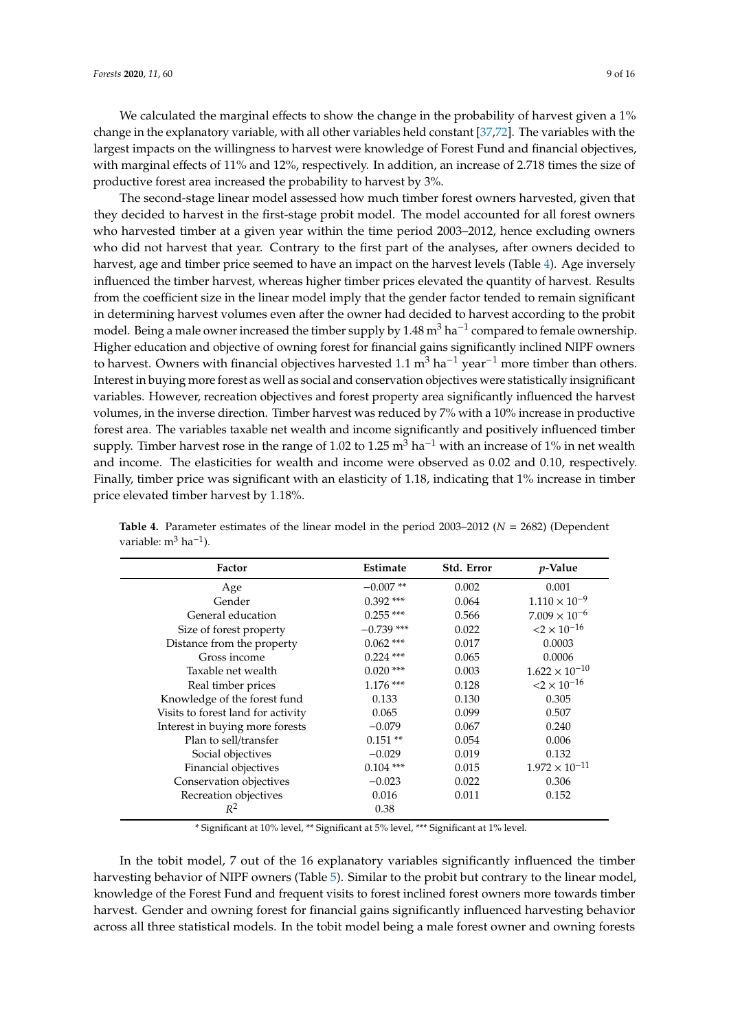We calculated the marginal effects to show the change in the probability of harvest given a 1% change in the explanatory variable, with all other variables held constant [\[37,](#page-13-4)[72\]](#page-14-17). The variables with the largest impacts on the willingness to harvest were knowledge of Forest Fund and financial objectives, with marginal effects of 11% and 12%, respectively. In addition, an increase of 2.718 times the size of productive forest area increased the probability to harvest by 3%.

The second-stage linear model assessed how much timber forest owners harvested, given that they decided to harvest in the first-stage probit model. The model accounted for all forest owners who harvested timber at a given year within the time period 2003–2012, hence excluding owners who did not harvest that year. Contrary to the first part of the analyses, after owners decided to harvest, age and timber price seemed to have an impact on the harvest levels (Table [4\)](#page-8-0). Age inversely influenced the timber harvest, whereas higher timber prices elevated the quantity of harvest. Results from the coefficient size in the linear model imply that the gender factor tended to remain significant in determining harvest volumes even after the owner had decided to harvest according to the probit model. Being a male owner increased the timber supply by 1.48 m<sup>3</sup> ha<sup>-1</sup> compared to female ownership. Higher education and objective of owning forest for financial gains significantly inclined NIPF owners to harvest. Owners with financial objectives harvested 1.1 m<sup>3</sup> ha<sup>-1</sup> year<sup>-1</sup> more timber than others. Interest in buying more forest as well as social and conservation objectives were statistically insignificant variables. However, recreation objectives and forest property area significantly influenced the harvest volumes, in the inverse direction. Timber harvest was reduced by 7% with a 10% increase in productive forest area. The variables taxable net wealth and income significantly and positively influenced timber supply. Timber harvest rose in the range of 1.02 to 1.25 m<sup>3</sup> ha<sup> $-1$ </sup> with an increase of 1% in net wealth and income. The elasticities for wealth and income were observed as 0.02 and 0.10, respectively. Finally, timber price was significant with an elasticity of 1.18, indicating that 1% increase in timber price elevated timber harvest by 1.18%.

| Factor                             | Estimate     | Std. Error | <i>p</i> -Value                  |
|------------------------------------|--------------|------------|----------------------------------|
| Age                                | $-0.007**$   | 0.002      | 0.001                            |
| Gender                             | $0.392$ ***  | 0.064      | $1.110 \times 10^{-9}$           |
| General education                  | $0.255$ ***  | 0.566      | $7.009 \times 10^{-6}$           |
| Size of forest property            | $-0.739$ *** | 0.022      | $<$ 2 $\times$ 10 <sup>-16</sup> |
| Distance from the property         | $0.062$ ***  | 0.017      | 0.0003                           |
| Gross income                       | $0.224$ ***  | 0.065      | 0.0006                           |
| Taxable net wealth                 | $0.020$ ***  | 0.003      | $1.622 \times 10^{-10}$          |
| Real timber prices                 | $1.176$ ***  | 0.128      | $<$ 2 $\times$ 10 <sup>-16</sup> |
| Knowledge of the forest fund       | 0.133        | 0.130      | 0.305                            |
| Visits to forest land for activity | 0.065        | 0.099      | 0.507                            |
| Interest in buying more forests    | $-0.079$     | 0.067      | 0.240                            |
| Plan to sell/transfer              | $0.151**$    | 0.054      | 0.006                            |
| Social objectives                  | $-0.029$     | 0.019      | 0.132                            |
| Financial objectives               | $0.104$ ***  | 0.015      | $1.972 \times 10^{-11}$          |
| Conservation objectives            | $-0.023$     | 0.022      | 0.306                            |
| Recreation objectives              | 0.016        | 0.011      | 0.152                            |
| $R^2$                              | 0.38         |            |                                  |

<span id="page-8-0"></span>**Table 4.** Parameter estimates of the linear model in the period 2003–2012 (*N* = 2682) (Dependent variable: m<sup>3</sup> ha<sup>-1</sup>).

\* Significant at 10% level, \*\* Significant at 5% level, \*\*\* Significant at 1% level.

In the tobit model, 7 out of the 16 explanatory variables significantly influenced the timber harvesting behavior of NIPF owners (Table [5\)](#page-9-1). Similar to the probit but contrary to the linear model, knowledge of the Forest Fund and frequent visits to forest inclined forest owners more towards timber harvest. Gender and owning forest for financial gains significantly influenced harvesting behavior across all three statistical models. In the tobit model being a male forest owner and owning forests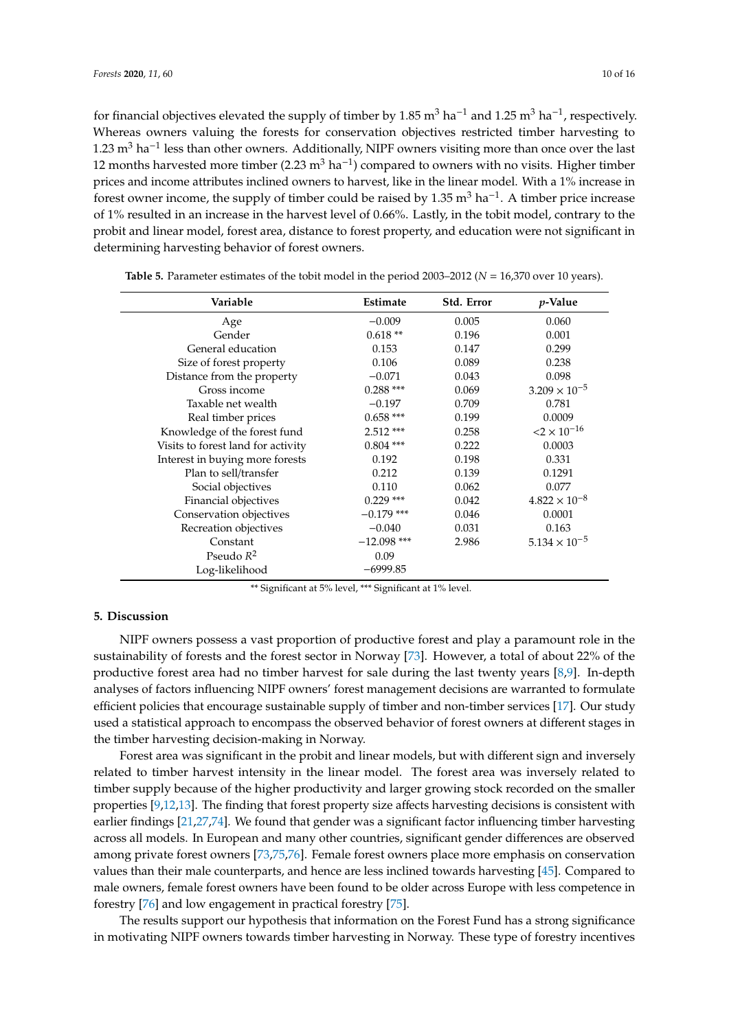for financial objectives elevated the supply of timber by 1.85 m<sup>3</sup> ha<sup>-1</sup> and 1.25 m<sup>3</sup> ha<sup>-1</sup>, respectively. Whereas owners valuing the forests for conservation objectives restricted timber harvesting to 1.23 m<sup>3</sup> ha<sup>-1</sup> less than other owners. Additionally, NIPF owners visiting more than once over the last 12 months harvested more timber (2.23 m<sup>3</sup> ha<sup>-1</sup>) compared to owners with no visits. Higher timber prices and income attributes inclined owners to harvest, like in the linear model. With a 1% increase in forest owner income, the supply of timber could be raised by 1.35 m<sup>3</sup> ha<sup>-1</sup>. A timber price increase of 1% resulted in an increase in the harvest level of 0.66%. Lastly, in the tobit model, contrary to the probit and linear model, forest area, distance to forest property, and education were not significant in determining harvesting behavior of forest owners.

| Variable                           | <b>Estimate</b> | Std. Error | <i>p</i> -Value                  |
|------------------------------------|-----------------|------------|----------------------------------|
| Age                                | $-0.009$        | 0.005      | 0.060                            |
| Gender                             | $0.618**$       | 0.196      | 0.001                            |
| General education                  | 0.153           | 0.147      | 0.299                            |
| Size of forest property            | 0.106           | 0.089      | 0.238                            |
| Distance from the property         | $-0.071$        | 0.043      | 0.098                            |
| Gross income                       | $0.288$ ***     | 0.069      | $3.209 \times 10^{-5}$           |
| Taxable net wealth                 | $-0.197$        | 0.709      | 0.781                            |
| Real timber prices                 | $0.658***$      | 0.199      | 0.0009                           |
| Knowledge of the forest fund       | $2.512***$      | 0.258      | $<$ 2 $\times$ 10 <sup>-16</sup> |
| Visits to forest land for activity | $0.804$ ***     | 0.222      | 0.0003                           |
| Interest in buying more forests    | 0.192           | 0.198      | 0.331                            |
| Plan to sell/transfer              | 0.212           | 0.139      | 0.1291                           |
| Social objectives                  | 0.110           | 0.062      | 0.077                            |
| Financial objectives               | $0.229$ ***     | 0.042      | $4.822 \times 10^{-8}$           |
| Conservation objectives            | $-0.179$ ***    | 0.046      | 0.0001                           |
| Recreation objectives              | $-0.040$        | 0.031      | 0.163                            |
| Constant                           | $-12.098$ ***   | 2.986      | $5.134 \times 10^{-5}$           |
| Pseudo $R^2$                       | 0.09            |            |                                  |
| Log-likelihood                     | $-6999.85$      |            |                                  |

<span id="page-9-1"></span>

| Table 5. Parameter estimates of the tobit model in the period 2003–2012 ( $N = 16,370$ over 10 years). |  |
|--------------------------------------------------------------------------------------------------------|--|
|--------------------------------------------------------------------------------------------------------|--|

\*\* Significant at 5% level, \*\*\* Significant at 1% level.

## <span id="page-9-0"></span>**5. Discussion**

NIPF owners possess a vast proportion of productive forest and play a paramount role in the sustainability of forests and the forest sector in Norway [\[73\]](#page-14-18). However, a total of about 22% of the productive forest area had no timber harvest for sale during the last twenty years [\[8,](#page-12-0)[9\]](#page-12-1). In-depth analyses of factors influencing NIPF owners' forest management decisions are warranted to formulate efficient policies that encourage sustainable supply of timber and non-timber services [\[17\]](#page-12-9). Our study used a statistical approach to encompass the observed behavior of forest owners at different stages in the timber harvesting decision-making in Norway.

Forest area was significant in the probit and linear models, but with different sign and inversely related to timber harvest intensity in the linear model. The forest area was inversely related to timber supply because of the higher productivity and larger growing stock recorded on the smaller properties [\[9,](#page-12-1)[12](#page-12-4)[,13\]](#page-12-5). The finding that forest property size affects harvesting decisions is consistent with earlier findings [\[21](#page-12-13)[,27](#page-12-17)[,74\]](#page-14-19). We found that gender was a significant factor influencing timber harvesting across all models. In European and many other countries, significant gender differences are observed among private forest owners [\[73,](#page-14-18)[75,](#page-14-20)[76\]](#page-14-21). Female forest owners place more emphasis on conservation values than their male counterparts, and hence are less inclined towards harvesting [\[45\]](#page-13-13). Compared to male owners, female forest owners have been found to be older across Europe with less competence in forestry [\[76\]](#page-14-21) and low engagement in practical forestry [\[75\]](#page-14-20).

The results support our hypothesis that information on the Forest Fund has a strong significance in motivating NIPF owners towards timber harvesting in Norway. These type of forestry incentives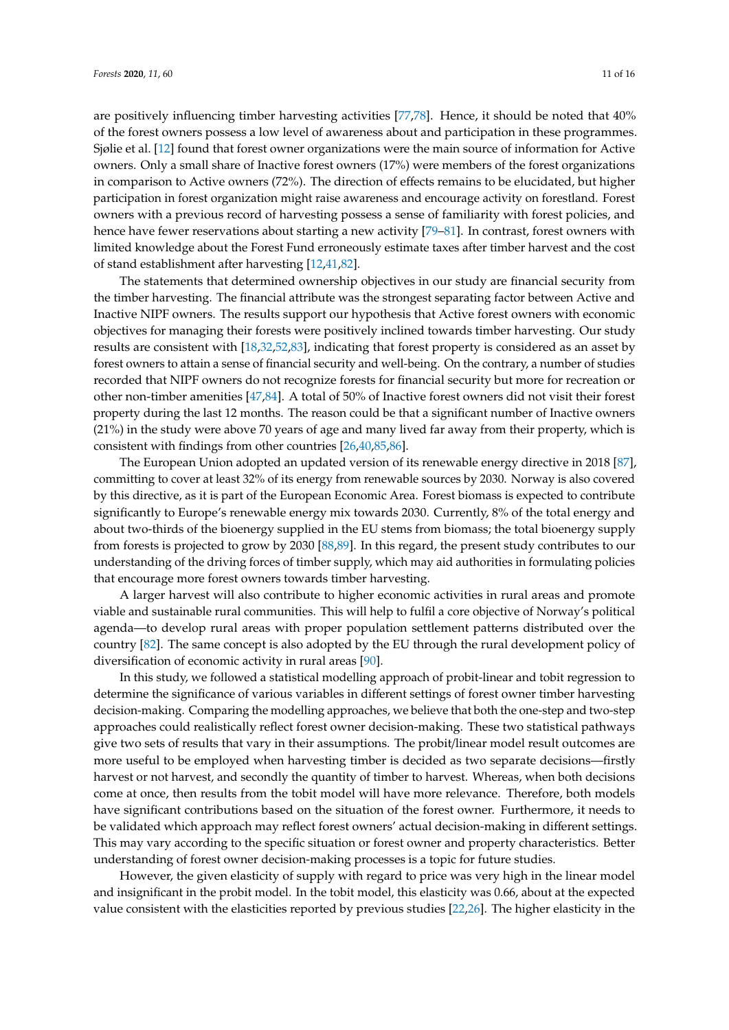are positively influencing timber harvesting activities [\[77](#page-14-22)[,78\]](#page-14-23). Hence, it should be noted that 40% of the forest owners possess a low level of awareness about and participation in these programmes. Sjølie et al. [\[12\]](#page-12-4) found that forest owner organizations were the main source of information for Active owners. Only a small share of Inactive forest owners (17%) were members of the forest organizations in comparison to Active owners (72%). The direction of effects remains to be elucidated, but higher participation in forest organization might raise awareness and encourage activity on forestland. Forest owners with a previous record of harvesting possess a sense of familiarity with forest policies, and hence have fewer reservations about starting a new activity [79-[81\]](#page-14-25). In contrast, forest owners with limited knowledge about the Forest Fund erroneously estimate taxes after timber harvest and the cost of stand establishment after harvesting [\[12,](#page-12-4)[41,](#page-13-8)[82\]](#page-15-0).

The statements that determined ownership objectives in our study are financial security from the timber harvesting. The financial attribute was the strongest separating factor between Active and Inactive NIPF owners. The results support our hypothesis that Active forest owners with economic objectives for managing their forests were positively inclined towards timber harvesting. Our study results are consistent with [\[18,](#page-12-23)[32,](#page-13-0)[52,](#page-13-20)[83\]](#page-15-1), indicating that forest property is considered as an asset by forest owners to attain a sense of financial security and well-being. On the contrary, a number of studies recorded that NIPF owners do not recognize forests for financial security but more for recreation or other non-timber amenities [\[47,](#page-13-15)[84\]](#page-15-2). A total of 50% of Inactive forest owners did not visit their forest property during the last 12 months. The reason could be that a significant number of Inactive owners (21%) in the study were above 70 years of age and many lived far away from their property, which is consistent with findings from other countries [\[26,](#page-12-16)[40,](#page-13-7)[85,](#page-15-3)[86\]](#page-15-4).

The European Union adopted an updated version of its renewable energy directive in 2018 [\[87\]](#page-15-5), committing to cover at least 32% of its energy from renewable sources by 2030. Norway is also covered by this directive, as it is part of the European Economic Area. Forest biomass is expected to contribute significantly to Europe's renewable energy mix towards 2030. Currently, 8% of the total energy and about two-thirds of the bioenergy supplied in the EU stems from biomass; the total bioenergy supply from forests is projected to grow by 2030 [\[88](#page-15-6)[,89\]](#page-15-7). In this regard, the present study contributes to our understanding of the driving forces of timber supply, which may aid authorities in formulating policies that encourage more forest owners towards timber harvesting.

A larger harvest will also contribute to higher economic activities in rural areas and promote viable and sustainable rural communities. This will help to fulfil a core objective of Norway's political agenda—to develop rural areas with proper population settlement patterns distributed over the country [\[82\]](#page-15-0). The same concept is also adopted by the EU through the rural development policy of diversification of economic activity in rural areas [\[90\]](#page-15-8).

In this study, we followed a statistical modelling approach of probit-linear and tobit regression to determine the significance of various variables in different settings of forest owner timber harvesting decision-making. Comparing the modelling approaches, we believe that both the one-step and two-step approaches could realistically reflect forest owner decision-making. These two statistical pathways give two sets of results that vary in their assumptions. The probit/linear model result outcomes are more useful to be employed when harvesting timber is decided as two separate decisions—firstly harvest or not harvest, and secondly the quantity of timber to harvest. Whereas, when both decisions come at once, then results from the tobit model will have more relevance. Therefore, both models have significant contributions based on the situation of the forest owner. Furthermore, it needs to be validated which approach may reflect forest owners' actual decision-making in different settings. This may vary according to the specific situation or forest owner and property characteristics. Better understanding of forest owner decision-making processes is a topic for future studies.

However, the given elasticity of supply with regard to price was very high in the linear model and insignificant in the probit model. In the tobit model, this elasticity was 0.66, about at the expected value consistent with the elasticities reported by previous studies [\[22](#page-12-21)[,26\]](#page-12-16). The higher elasticity in the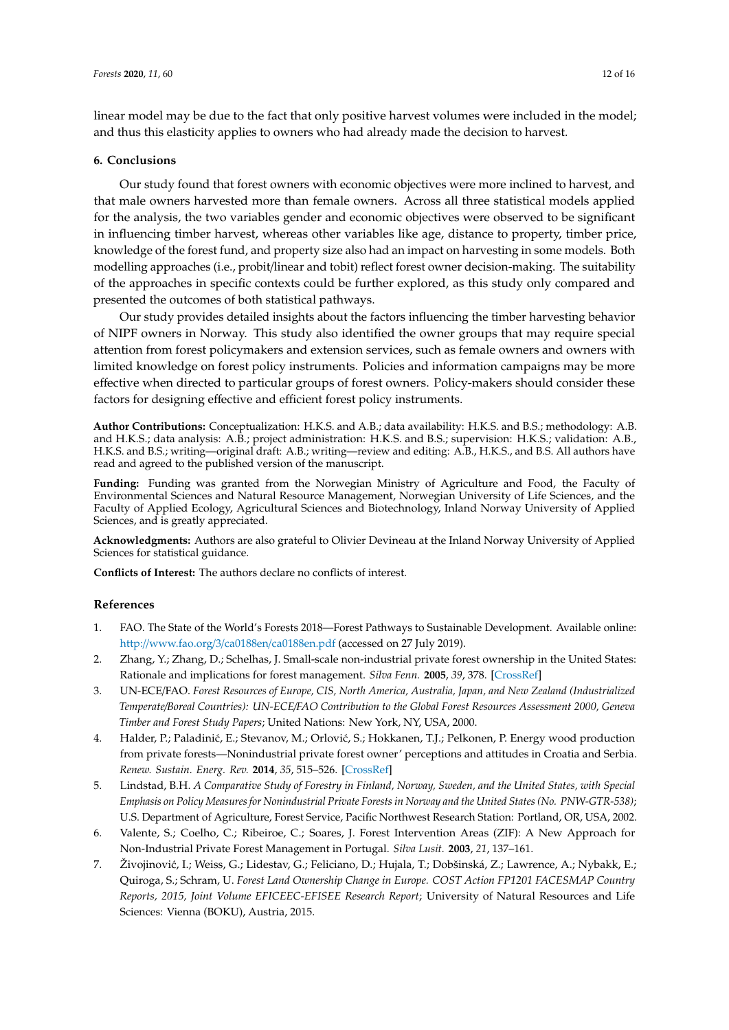linear model may be due to the fact that only positive harvest volumes were included in the model; and thus this elasticity applies to owners who had already made the decision to harvest.

## <span id="page-11-5"></span>**6. Conclusions**

Our study found that forest owners with economic objectives were more inclined to harvest, and that male owners harvested more than female owners. Across all three statistical models applied for the analysis, the two variables gender and economic objectives were observed to be significant in influencing timber harvest, whereas other variables like age, distance to property, timber price, knowledge of the forest fund, and property size also had an impact on harvesting in some models. Both modelling approaches (i.e., probit/linear and tobit) reflect forest owner decision-making. The suitability of the approaches in specific contexts could be further explored, as this study only compared and presented the outcomes of both statistical pathways.

Our study provides detailed insights about the factors influencing the timber harvesting behavior of NIPF owners in Norway. This study also identified the owner groups that may require special attention from forest policymakers and extension services, such as female owners and owners with limited knowledge on forest policy instruments. Policies and information campaigns may be more effective when directed to particular groups of forest owners. Policy-makers should consider these factors for designing effective and efficient forest policy instruments.

**Author Contributions:** Conceptualization: H.K.S. and A.B.; data availability: H.K.S. and B.S.; methodology: A.B. and H.K.S.; data analysis: A.B.; project administration: H.K.S. and B.S.; supervision: H.K.S.; validation: A.B., H.K.S. and B.S.; writing—original draft: A.B.; writing—review and editing: A.B., H.K.S., and B.S. All authors have read and agreed to the published version of the manuscript.

**Funding:** Funding was granted from the Norwegian Ministry of Agriculture and Food, the Faculty of Environmental Sciences and Natural Resource Management, Norwegian University of Life Sciences, and the Faculty of Applied Ecology, Agricultural Sciences and Biotechnology, Inland Norway University of Applied Sciences, and is greatly appreciated.

**Acknowledgments:** Authors are also grateful to Olivier Devineau at the Inland Norway University of Applied Sciences for statistical guidance.

**Conflicts of Interest:** The authors declare no conflicts of interest.

## **References**

- <span id="page-11-0"></span>1. FAO. The State of the World's Forests 2018—Forest Pathways to Sustainable Development. Available online: http://www.fao.org/3/ca0188en/[ca0188en.pdf](http://www.fao.org/3/ca0188en/ca0188en.pdf) (accessed on 27 July 2019).
- <span id="page-11-1"></span>2. Zhang, Y.; Zhang, D.; Schelhas, J. Small-scale non-industrial private forest ownership in the United States: Rationale and implications for forest management. *Silva Fenn.* **2005**, *39*, 378. [\[CrossRef\]](http://dx.doi.org/10.14214/sf.378)
- <span id="page-11-2"></span>3. UN-ECE/FAO. *Forest Resources of Europe, CIS, North America, Australia, Japan, and New Zealand (Industrialized Temperate*/*Boreal Countries): UN-ECE*/*FAO Contribution to the Global Forest Resources Assessment 2000, Geneva Timber and Forest Study Papers*; United Nations: New York, NY, USA, 2000.
- <span id="page-11-3"></span>4. Halder, P.; Paladinić, E.; Stevanov, M.; Orlović, S.; Hokkanen, T.J.; Pelkonen, P. Energy wood production from private forests—Nonindustrial private forest owner' perceptions and attitudes in Croatia and Serbia. *Renew. Sustain. Energ. Rev.* **2014**, *35*, 515–526. [\[CrossRef\]](http://dx.doi.org/10.1016/j.rser.2014.04.038)
- 5. Lindstad, B.H. *A Comparative Study of Forestry in Finland, Norway, Sweden, and the United States, with Special Emphasis on Policy Measures for Nonindustrial Private Forests in Norway and the United States (No. PNW-GTR-538)*; U.S. Department of Agriculture, Forest Service, Pacific Northwest Research Station: Portland, OR, USA, 2002.
- 6. Valente, S.; Coelho, C.; Ribeiroe, C.; Soares, J. Forest Intervention Areas (ZIF): A New Approach for Non-Industrial Private Forest Management in Portugal. *Silva Lusit.* **2003**, *21*, 137–161.
- <span id="page-11-4"></span>7. Živojinović, I.; Weiss, G.; Lidestav, G.; Feliciano, D.; Hujala, T.; Dobšinská, Z.; Lawrence, A.; Nybakk, E.; Quiroga, S.; Schram, U. *Forest Land Ownership Change in Europe. COST Action FP1201 FACESMAP Country Reports, 2015, Joint Volume EFICEEC-EFISEE Research Report*; University of Natural Resources and Life Sciences: Vienna (BOKU), Austria, 2015.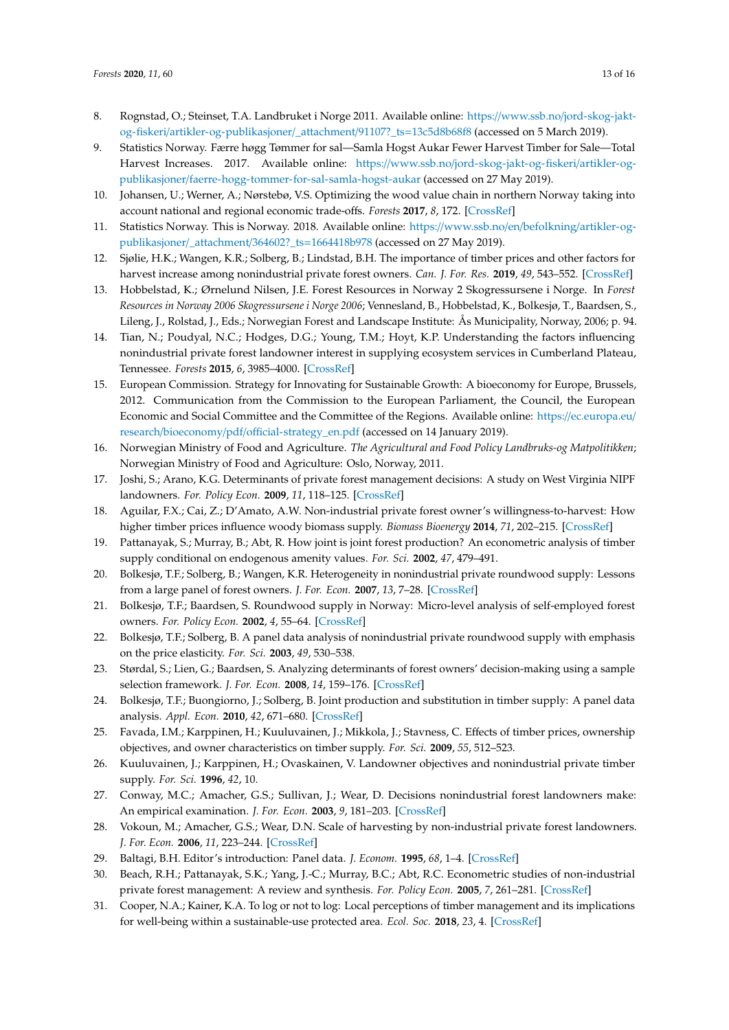- <span id="page-12-0"></span>8. Rognstad, O.; Steinset, T.A. Landbruket i Norge 2011. Available online: https://www.ssb.no/[jord-skog-jakt](https://www.ssb.no/jord-skog-jakt-og-fiskeri/artikler-og-publikasjoner/_attachment/91107?_ts=13c5d8b68f8)og-fiskeri/[artikler-og-publikasjoner](https://www.ssb.no/jord-skog-jakt-og-fiskeri/artikler-og-publikasjoner/_attachment/91107?_ts=13c5d8b68f8)/\_attachment/91107?\_ts=13c5d8b68f8 (accessed on 5 March 2019).
- <span id="page-12-1"></span>9. Statistics Norway. Færre høgg Tømmer for sal—Samla Hogst Aukar Fewer Harvest Timber for Sale—Total Harvest Increases. 2017. Available online: https://www.ssb.no/[jord-skog-jakt-og-fiskeri](https://www.ssb.no/jord-skog-jakt-og-fiskeri/artikler-og-publikasjoner/faerre-hogg-tommer-for-sal-samla-hogst-aukar)/artikler-ogpublikasjoner/[faerre-hogg-tommer-for-sal-samla-hogst-aukar](https://www.ssb.no/jord-skog-jakt-og-fiskeri/artikler-og-publikasjoner/faerre-hogg-tommer-for-sal-samla-hogst-aukar) (accessed on 27 May 2019).
- <span id="page-12-2"></span>10. Johansen, U.; Werner, A.; Nørstebø, V.S. Optimizing the wood value chain in northern Norway taking into account national and regional economic trade-offs. *Forests* **2017**, *8*, 172. [\[CrossRef\]](http://dx.doi.org/10.3390/f8050172)
- <span id="page-12-3"></span>11. Statistics Norway. This is Norway. 2018. Available online: https://[www.ssb.no](https://www.ssb.no/en/befolkning/artikler-og-publikasjoner/_attachment/364602?_ts=1664418b978)/en/befolkning/artikler-og[publikasjoner](https://www.ssb.no/en/befolkning/artikler-og-publikasjoner/_attachment/364602?_ts=1664418b978)/\_attachment/364602?\_ts=1664418b978 (accessed on 27 May 2019).
- <span id="page-12-4"></span>12. Sjølie, H.K.; Wangen, K.R.; Solberg, B.; Lindstad, B.H. The importance of timber prices and other factors for harvest increase among nonindustrial private forest owners. *Can. J. For. Res.* **2019**, *49*, 543–552. [\[CrossRef\]](http://dx.doi.org/10.1139/cjfr-2018-0292)
- <span id="page-12-5"></span>13. Hobbelstad, K.; Ørnelund Nilsen, J.E. Forest Resources in Norway 2 Skogressursene i Norge. In *Forest Resources in Norway 2006 Skogressursene i Norge 2006*; Vennesland, B., Hobbelstad, K., Bolkesjø, T., Baardsen, S., Lileng, J., Rolstad, J., Eds.; Norwegian Forest and Landscape Institute: Ås Municipality, Norway, 2006; p. 94.
- <span id="page-12-6"></span>14. Tian, N.; Poudyal, N.C.; Hodges, D.G.; Young, T.M.; Hoyt, K.P. Understanding the factors influencing nonindustrial private forest landowner interest in supplying ecosystem services in Cumberland Plateau, Tennessee. *Forests* **2015**, *6*, 3985–4000. [\[CrossRef\]](http://dx.doi.org/10.3390/f6113985)
- <span id="page-12-7"></span>15. European Commission. Strategy for Innovating for Sustainable Growth: A bioeconomy for Europe, Brussels, 2012. Communication from the Commission to the European Parliament, the Council, the European Economic and Social Committee and the Committee of the Regions. Available online: https://[ec.europa.eu](https://ec.europa.eu/research/bioeconomy/pdf/official-strategy_en.pdf)/ research/bioeconomy/pdf/offi[cial-strategy\\_en.pdf](https://ec.europa.eu/research/bioeconomy/pdf/official-strategy_en.pdf) (accessed on 14 January 2019).
- <span id="page-12-8"></span>16. Norwegian Ministry of Food and Agriculture. *The Agricultural and Food Policy Landbruks-og Matpolitikken*; Norwegian Ministry of Food and Agriculture: Oslo, Norway, 2011.
- <span id="page-12-9"></span>17. Joshi, S.; Arano, K.G. Determinants of private forest management decisions: A study on West Virginia NIPF landowners. *For. Policy Econ.* **2009**, *11*, 118–125. [\[CrossRef\]](http://dx.doi.org/10.1016/j.forpol.2008.10.005)
- <span id="page-12-23"></span>18. Aguilar, F.X.; Cai, Z.; D'Amato, A.W. Non-industrial private forest owner's willingness-to-harvest: How higher timber prices influence woody biomass supply. *Biomass Bioenergy* **2014**, *71*, 202–215. [\[CrossRef\]](http://dx.doi.org/10.1016/j.biombioe.2014.10.006)
- <span id="page-12-10"></span>19. Pattanayak, S.; Murray, B.; Abt, R. How joint is joint forest production? An econometric analysis of timber supply conditional on endogenous amenity values. *For. Sci.* **2002**, *47*, 479–491.
- <span id="page-12-11"></span>20. Bolkesjø, T.F.; Solberg, B.; Wangen, K.R. Heterogeneity in nonindustrial private roundwood supply: Lessons from a large panel of forest owners. *J. For. Econ.* **2007**, *13*, 7–28. [\[CrossRef\]](http://dx.doi.org/10.1016/j.jfe.2006.08.003)
- <span id="page-12-13"></span>21. Bolkesjø, T.F.; Baardsen, S. Roundwood supply in Norway: Micro-level analysis of self-employed forest owners. *For. Policy Econ.* **2002**, *4*, 55–64. [\[CrossRef\]](http://dx.doi.org/10.1016/S1389-9341(01)00081-8)
- <span id="page-12-21"></span>22. Bolkesjø, T.F.; Solberg, B. A panel data analysis of nonindustrial private roundwood supply with emphasis on the price elasticity. *For. Sci.* **2003**, *49*, 530–538.
- <span id="page-12-12"></span>23. Størdal, S.; Lien, G.; Baardsen, S. Analyzing determinants of forest owners' decision-making using a sample selection framework. *J. For. Econ.* **2008**, *14*, 159–176. [\[CrossRef\]](http://dx.doi.org/10.1016/j.jfe.2007.07.001)
- <span id="page-12-14"></span>24. Bolkesjø, T.F.; Buongiorno, J.; Solberg, B. Joint production and substitution in timber supply: A panel data analysis. *Appl. Econ.* **2010**, *42*, 671–680. [\[CrossRef\]](http://dx.doi.org/10.1080/00036840701721216)
- <span id="page-12-15"></span>25. Favada, I.M.; Karppinen, H.; Kuuluvainen, J.; Mikkola, J.; Stavness, C. Effects of timber prices, ownership objectives, and owner characteristics on timber supply. *For. Sci.* **2009**, *55*, 512–523.
- <span id="page-12-16"></span>26. Kuuluvainen, J.; Karppinen, H.; Ovaskainen, V. Landowner objectives and nonindustrial private timber supply. *For. Sci.* **1996**, *42*, 10.
- <span id="page-12-17"></span>27. Conway, M.C.; Amacher, G.S.; Sullivan, J.; Wear, D. Decisions nonindustrial forest landowners make: An empirical examination. *J. For. Econ.* **2003**, *9*, 181–203. [\[CrossRef\]](http://dx.doi.org/10.1078/1104-6899-00034)
- <span id="page-12-18"></span>28. Vokoun, M.; Amacher, G.S.; Wear, D.N. Scale of harvesting by non-industrial private forest landowners. *J. For. Econ.* **2006**, *11*, 223–244. [\[CrossRef\]](http://dx.doi.org/10.1016/j.jfe.2005.10.002)
- <span id="page-12-19"></span>29. Baltagi, B.H. Editor's introduction: Panel data. *J. Econom.* **1995**, *68*, 1–4. [\[CrossRef\]](http://dx.doi.org/10.1016/0304-4076(95)90009-8)
- <span id="page-12-20"></span>30. Beach, R.H.; Pattanayak, S.K.; Yang, J.-C.; Murray, B.C.; Abt, R.C. Econometric studies of non-industrial private forest management: A review and synthesis. *For. Policy Econ.* **2005**, *7*, 261–281. [\[CrossRef\]](http://dx.doi.org/10.1016/S1389-9341(03)00065-0)
- <span id="page-12-22"></span>31. Cooper, N.A.; Kainer, K.A. To log or not to log: Local perceptions of timber management and its implications for well-being within a sustainable-use protected area. *Ecol. Soc.* **2018**, *23*, 4. [\[CrossRef\]](http://dx.doi.org/10.5751/ES-09995-230204)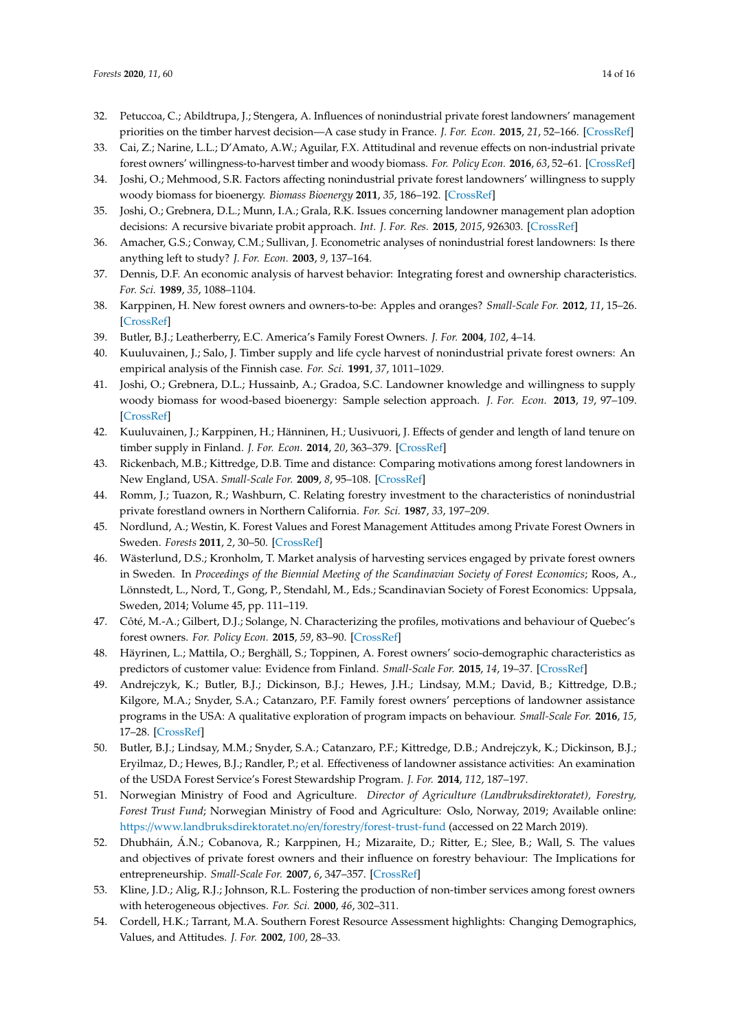- <span id="page-13-0"></span>32. Petuccoa, C.; Abildtrupa, J.; Stengera, A. Influences of nonindustrial private forest landowners' management priorities on the timber harvest decision—A case study in France. *J. For. Econ.* **2015**, *21*, 52–166. [\[CrossRef\]](http://dx.doi.org/10.1016/j.jfe.2015.07.001)
- <span id="page-13-1"></span>33. Cai, Z.; Narine, L.L.; D'Amato, A.W.; Aguilar, F.X. Attitudinal and revenue effects on non-industrial private forest owners' willingness-to-harvest timber and woody biomass. *For. Policy Econ.* **2016**, *63*, 52–61. [\[CrossRef\]](http://dx.doi.org/10.1016/j.forpol.2015.11.007)
- <span id="page-13-5"></span>34. Joshi, O.; Mehmood, S.R. Factors affecting nonindustrial private forest landowners' willingness to supply woody biomass for bioenergy. *Biomass Bioenergy* **2011**, *35*, 186–192. [\[CrossRef\]](http://dx.doi.org/10.1016/j.biombioe.2010.08.016)
- <span id="page-13-2"></span>35. Joshi, O.; Grebnera, D.L.; Munn, I.A.; Grala, R.K. Issues concerning landowner management plan adoption decisions: A recursive bivariate probit approach. *Int. J. For. Res.* **2015**, *2015*, 926303. [\[CrossRef\]](http://dx.doi.org/10.1155/2015/926303)
- <span id="page-13-3"></span>36. Amacher, G.S.; Conway, C.M.; Sullivan, J. Econometric analyses of nonindustrial forest landowners: Is there anything left to study? *J. For. Econ.* **2003**, *9*, 137–164.
- <span id="page-13-4"></span>37. Dennis, D.F. An economic analysis of harvest behavior: Integrating forest and ownership characteristics. *For. Sci.* **1989**, *35*, 1088–1104.
- <span id="page-13-6"></span>38. Karppinen, H. New forest owners and owners-to-be: Apples and oranges? *Small-Scale For.* **2012**, *11*, 15–26. [\[CrossRef\]](http://dx.doi.org/10.1007/s11842-011-9165-z)
- <span id="page-13-10"></span>39. Butler, B.J.; Leatherberry, E.C. America's Family Forest Owners. *J. For.* **2004**, *102*, 4–14.
- <span id="page-13-7"></span>40. Kuuluvainen, J.; Salo, J. Timber supply and life cycle harvest of nonindustrial private forest owners: An empirical analysis of the Finnish case. *For. Sci.* **1991**, *37*, 1011–1029.
- <span id="page-13-8"></span>41. Joshi, O.; Grebnera, D.L.; Hussainb, A.; Gradoa, S.C. Landowner knowledge and willingness to supply woody biomass for wood-based bioenergy: Sample selection approach. *J. For. Econ.* **2013**, *19*, 97–109. [\[CrossRef\]](http://dx.doi.org/10.1016/j.jfe.2012.11.003)
- <span id="page-13-9"></span>42. Kuuluvainen, J.; Karppinen, H.; Hänninen, H.; Uusivuori, J. Effects of gender and length of land tenure on timber supply in Finland. *J. For. Econ.* **2014**, *20*, 363–379. [\[CrossRef\]](http://dx.doi.org/10.1016/j.jfe.2014.10.002)
- <span id="page-13-11"></span>43. Rickenbach, M.B.; Kittredge, D.B. Time and distance: Comparing motivations among forest landowners in New England, USA. *Small-Scale For.* **2009**, *8*, 95–108. [\[CrossRef\]](http://dx.doi.org/10.1007/s11842-008-9071-1)
- <span id="page-13-12"></span>44. Romm, J.; Tuazon, R.; Washburn, C. Relating forestry investment to the characteristics of nonindustrial private forestland owners in Northern California. *For. Sci.* **1987**, *33*, 197–209.
- <span id="page-13-13"></span>45. Nordlund, A.; Westin, K. Forest Values and Forest Management Attitudes among Private Forest Owners in Sweden. *Forests* **2011**, *2*, 30–50. [\[CrossRef\]](http://dx.doi.org/10.3390/f2010030)
- <span id="page-13-14"></span>46. Wästerlund, D.S.; Kronholm, T. Market analysis of harvesting services engaged by private forest owners in Sweden. In *Proceedings of the Biennial Meeting of the Scandinavian Society of Forest Economics*; Roos, A., Lönnstedt, L., Nord, T., Gong, P., Stendahl, M., Eds.; Scandinavian Society of Forest Economics: Uppsala, Sweden, 2014; Volume 45, pp. 111–119.
- <span id="page-13-15"></span>47. Côté, M.-A.; Gilbert, D.J.; Solange, N. Characterizing the profiles, motivations and behaviour of Quebec's forest owners. *For. Policy Econ.* **2015**, *59*, 83–90. [\[CrossRef\]](http://dx.doi.org/10.1016/j.forpol.2015.06.004)
- <span id="page-13-16"></span>48. Häyrinen, L.; Mattila, O.; Berghäll, S.; Toppinen, A. Forest owners' socio-demographic characteristics as predictors of customer value: Evidence from Finland. *Small-Scale For.* **2015**, *14*, 19–37. [\[CrossRef\]](http://dx.doi.org/10.1007/s11842-014-9271-9)
- <span id="page-13-17"></span>49. Andrejczyk, K.; Butler, B.J.; Dickinson, B.J.; Hewes, J.H.; Lindsay, M.M.; David, B.; Kittredge, D.B.; Kilgore, M.A.; Snyder, S.A.; Catanzaro, P.F. Family forest owners' perceptions of landowner assistance programs in the USA: A qualitative exploration of program impacts on behaviour. *Small-Scale For.* **2016**, *15*, 17–28. [\[CrossRef\]](http://dx.doi.org/10.1007/s11842-015-9304-z)
- <span id="page-13-18"></span>50. Butler, B.J.; Lindsay, M.M.; Snyder, S.A.; Catanzaro, P.F.; Kittredge, D.B.; Andrejczyk, K.; Dickinson, B.J.; Eryilmaz, D.; Hewes, B.J.; Randler, P.; et al. Effectiveness of landowner assistance activities: An examination of the USDA Forest Service's Forest Stewardship Program. *J. For.* **2014**, *112*, 187–197.
- <span id="page-13-19"></span>51. Norwegian Ministry of Food and Agriculture. *Director of Agriculture (Landbruksdirektoratet), Forestry, Forest Trust Fund*; Norwegian Ministry of Food and Agriculture: Oslo, Norway, 2019; Available online: https://[www.landbruksdirektoratet.no](https://www.landbruksdirektoratet.no/en/forestry/forest-trust-fund)/en/forestry/forest-trust-fund (accessed on 22 March 2019).
- <span id="page-13-20"></span>52. Dhubháin, Á.N.; Cobanova, R.; Karppinen, H.; Mizaraite, D.; Ritter, E.; Slee, B.; Wall, S. The values and objectives of private forest owners and their influence on forestry behaviour: The Implications for entrepreneurship. *Small-Scale For.* **2007**, *6*, 347–357. [\[CrossRef\]](http://dx.doi.org/10.1007/s11842-007-9030-2)
- <span id="page-13-21"></span>53. Kline, J.D.; Alig, R.J.; Johnson, R.L. Fostering the production of non-timber services among forest owners with heterogeneous objectives. *For. Sci.* **2000**, *46*, 302–311.
- <span id="page-13-22"></span>54. Cordell, H.K.; Tarrant, M.A. Southern Forest Resource Assessment highlights: Changing Demographics, Values, and Attitudes. *J. For.* **2002**, *100*, 28–33.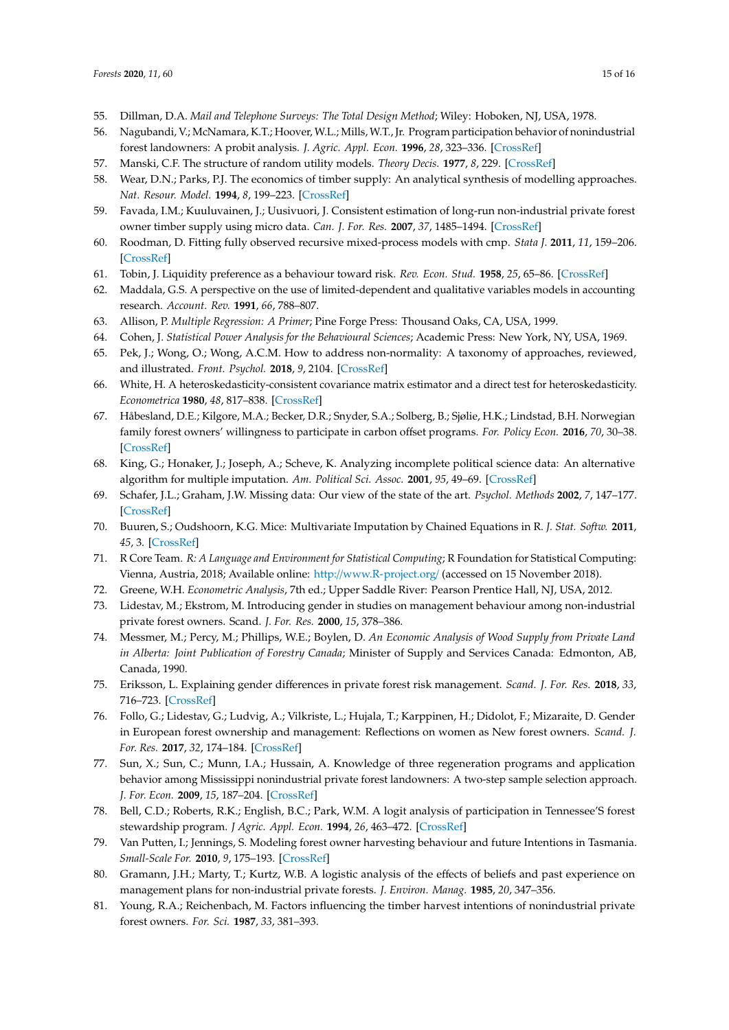- <span id="page-14-0"></span>55. Dillman, D.A. *Mail and Telephone Surveys: The Total Design Method*; Wiley: Hoboken, NJ, USA, 1978.
- <span id="page-14-1"></span>56. Nagubandi, V.; McNamara, K.T.; Hoover, W.L.; Mills, W.T., Jr. Program participation behavior of nonindustrial forest landowners: A probit analysis. *J. Agric. Appl. Econ.* **1996**, *28*, 323–336. [\[CrossRef\]](http://dx.doi.org/10.1017/S1074070800007343)
- <span id="page-14-2"></span>57. Manski, C.F. The structure of random utility models. *Theory Decis.* **1977**, *8*, 229. [\[CrossRef\]](http://dx.doi.org/10.1007/BF00133443)
- <span id="page-14-3"></span>58. Wear, D.N.; Parks, P.J. The economics of timber supply: An analytical synthesis of modelling approaches. *Nat. Resour. Model.* **1994**, *8*, 199–223. [\[CrossRef\]](http://dx.doi.org/10.1111/j.1939-7445.1994.tb00182.x)
- <span id="page-14-4"></span>59. Favada, I.M.; Kuuluvainen, J.; Uusivuori, J. Consistent estimation of long-run non-industrial private forest owner timber supply using micro data. *Can. J. For. Res.* **2007**, *37*, 1485–1494. [\[CrossRef\]](http://dx.doi.org/10.1139/X07-009)
- <span id="page-14-5"></span>60. Roodman, D. Fitting fully observed recursive mixed-process models with cmp. *Stata J.* **2011**, *11*, 159–206. [\[CrossRef\]](http://dx.doi.org/10.1177/1536867X1101100202)
- <span id="page-14-6"></span>61. Tobin, J. Liquidity preference as a behaviour toward risk. *Rev. Econ. Stud.* **1958**, *25*, 65–86. [\[CrossRef\]](http://dx.doi.org/10.2307/2296205)
- <span id="page-14-7"></span>62. Maddala, G.S. A perspective on the use of limited-dependent and qualitative variables models in accounting research. *Account. Rev.* **1991**, *66*, 788–807.
- <span id="page-14-8"></span>63. Allison, P. *Multiple Regression: A Primer*; Pine Forge Press: Thousand Oaks, CA, USA, 1999.
- <span id="page-14-9"></span>64. Cohen, J. *Statistical Power Analysis for the Behavioural Sciences*; Academic Press: New York, NY, USA, 1969.
- <span id="page-14-10"></span>65. Pek, J.; Wong, O.; Wong, A.C.M. How to address non-normality: A taxonomy of approaches, reviewed, and illustrated. *Front. Psychol.* **2018**, *9*, 2104. [\[CrossRef\]](http://dx.doi.org/10.3389/fpsyg.2018.02104)
- <span id="page-14-11"></span>66. White, H. A heteroskedasticity-consistent covariance matrix estimator and a direct test for heteroskedasticity. *Econometrica* **1980**, *48*, 817–838. [\[CrossRef\]](http://dx.doi.org/10.2307/1912934)
- <span id="page-14-12"></span>67. Håbesland, D.E.; Kilgore, M.A.; Becker, D.R.; Snyder, S.A.; Solberg, B.; Sjølie, H.K.; Lindstad, B.H. Norwegian family forest owners' willingness to participate in carbon offset programs. *For. Policy Econ.* **2016**, *70*, 30–38. [\[CrossRef\]](http://dx.doi.org/10.1016/j.forpol.2016.05.017)
- <span id="page-14-13"></span>68. King, G.; Honaker, J.; Joseph, A.; Scheve, K. Analyzing incomplete political science data: An alternative algorithm for multiple imputation. *Am. Political Sci. Assoc.* **2001**, *95*, 49–69. [\[CrossRef\]](http://dx.doi.org/10.1017/S0003055401000235)
- <span id="page-14-14"></span>69. Schafer, J.L.; Graham, J.W. Missing data: Our view of the state of the art. *Psychol. Methods* **2002**, *7*, 147–177. [\[CrossRef\]](http://dx.doi.org/10.1037/1082-989X.7.2.147)
- <span id="page-14-15"></span>70. Buuren, S.; Oudshoorn, K.G. Mice: Multivariate Imputation by Chained Equations in R. *J. Stat. Softw.* **2011**, *45*, 3. [\[CrossRef\]](http://dx.doi.org/10.18637/jss.v045.i03)
- <span id="page-14-16"></span>71. R Core Team. *R: A Language and Environment for Statistical Computing*; R Foundation for Statistical Computing: Vienna, Austria, 2018; Available online: http://[www.R-project.org](http://www.R-project.org/)/ (accessed on 15 November 2018).
- <span id="page-14-17"></span>72. Greene, W.H. *Econometric Analysis*, 7th ed.; Upper Saddle River: Pearson Prentice Hall, NJ, USA, 2012.
- <span id="page-14-18"></span>73. Lidestav, M.; Ekstrom, M. Introducing gender in studies on management behaviour among non-industrial private forest owners. Scand. *J. For. Res.* **2000**, *15*, 378–386.
- <span id="page-14-19"></span>74. Messmer, M.; Percy, M.; Phillips, W.E.; Boylen, D. *An Economic Analysis of Wood Supply from Private Land in Alberta: Joint Publication of Forestry Canada*; Minister of Supply and Services Canada: Edmonton, AB, Canada, 1990.
- <span id="page-14-20"></span>75. Eriksson, L. Explaining gender differences in private forest risk management. *Scand. J. For. Res.* **2018**, *33*, 716–723. [\[CrossRef\]](http://dx.doi.org/10.1080/02827581.2018.1453944)
- <span id="page-14-21"></span>76. Follo, G.; Lidestav, G.; Ludvig, A.; Vilkriste, L.; Hujala, T.; Karppinen, H.; Didolot, F.; Mizaraite, D. Gender in European forest ownership and management: Reflections on women as New forest owners. *Scand. J. For. Res.* **2017**, *32*, 174–184. [\[CrossRef\]](http://dx.doi.org/10.1080/02827581.2016.1195866)
- <span id="page-14-22"></span>77. Sun, X.; Sun, C.; Munn, I.A.; Hussain, A. Knowledge of three regeneration programs and application behavior among Mississippi nonindustrial private forest landowners: A two-step sample selection approach. *J. For. Econ.* **2009**, *15*, 187–204. [\[CrossRef\]](http://dx.doi.org/10.1016/j.jfe.2008.05.001)
- <span id="page-14-23"></span>78. Bell, C.D.; Roberts, R.K.; English, B.C.; Park, W.M. A logit analysis of participation in Tennessee'S forest stewardship program. *J Agric. Appl. Econ.* **1994**, *26*, 463–472. [\[CrossRef\]](http://dx.doi.org/10.1017/S1074070800026389)
- <span id="page-14-24"></span>79. Van Putten, I.; Jennings, S. Modeling forest owner harvesting behaviour and future Intentions in Tasmania. *Small-Scale For.* **2010**, *9*, 175–193. [\[CrossRef\]](http://dx.doi.org/10.1007/s11842-010-9109-z)
- 80. Gramann, J.H.; Marty, T.; Kurtz, W.B. A logistic analysis of the effects of beliefs and past experience on management plans for non-industrial private forests. *J. Environ. Manag.* **1985**, *20*, 347–356.
- <span id="page-14-25"></span>81. Young, R.A.; Reichenbach, M. Factors influencing the timber harvest intentions of nonindustrial private forest owners. *For. Sci.* **1987**, *33*, 381–393.